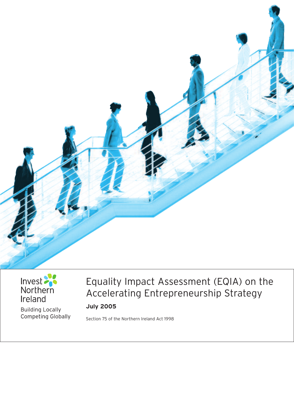



**Building Locally** Competing Globally

# Equality Impact Assessment (EQIA) on the Accelerating Entrepreneurship Strategy **July 2005**

Section 75 of the Northern Ireland Act 1998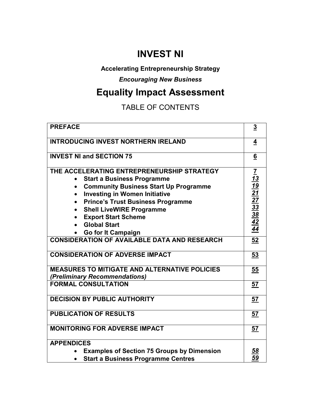# **INVEST NI**

# **Accelerating Entrepreneurship Strategy**

*Encouraging New Business* 

# **Equality Impact Assessment**

# TABLE OF CONTENTS

| <b>PREFACE</b>                                                                        | $\overline{3}$                                            |
|---------------------------------------------------------------------------------------|-----------------------------------------------------------|
| <b>INTRODUCING INVEST NORTHERN IRELAND</b>                                            | 4                                                         |
| <b>INVEST NI and SECTION 75</b>                                                       | $6\overline{6}$                                           |
| THE ACCELERATING ENTREPRENEURSHIP STRATEGY                                            | $\overline{I}$                                            |
| <b>Start a Business Programme</b><br>$\bullet$                                        | <u> 13</u>                                                |
| <b>Community Business Start Up Programme</b><br>$\bullet$                             |                                                           |
| <b>Investing in Women Initiative</b><br>$\bullet$                                     |                                                           |
| <b>Prince's Trust Business Programme</b><br>$\bullet$                                 |                                                           |
| <b>Shell LiveWIRE Programme</b>                                                       |                                                           |
| <b>Export Start Scheme</b><br>$\bullet$                                               | $\frac{19}{21} \frac{27}{33} \frac{33}{38} \frac{42}{44}$ |
| <b>Global Start</b>                                                                   |                                                           |
| <b>Go for It Campaign</b>                                                             |                                                           |
| <b>CONSIDERATION OF AVAILABLE DATA AND RESEARCH</b>                                   | 52                                                        |
| <b>CONSIDERATION OF ADVERSE IMPACT</b>                                                | 53                                                        |
| <b>MEASURES TO MITIGATE AND ALTERNATIVE POLICIES</b><br>(Preliminary Recommendations) | 55                                                        |
| <b>FORMAL CONSULTATION</b>                                                            | 57                                                        |
| <b>DECISION BY PUBLIC AUTHORITY</b>                                                   | 57                                                        |
| <b>PUBLICATION OF RESULTS</b>                                                         | 57                                                        |
| <b>MONITORING FOR ADVERSE IMPACT</b>                                                  | 57                                                        |
| <b>APPENDICES</b>                                                                     |                                                           |
| <b>Examples of Section 75 Groups by Dimension</b>                                     | <u>58</u>                                                 |
| <b>Start a Business Programme Centres</b>                                             | 59                                                        |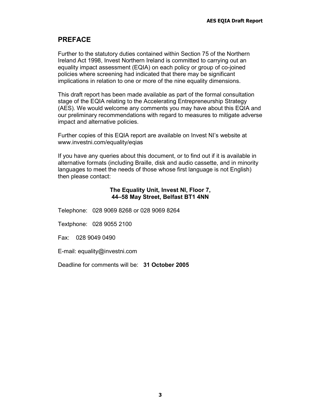# **PREFACE**

Further to the statutory duties contained within Section 75 of the Northern Ireland Act 1998, Invest Northern Ireland is committed to carrying out an equality impact assessment (EQIA) on each policy or group of co-joined policies where screening had indicated that there may be significant implications in relation to one or more of the nine equality dimensions.

This draft report has been made available as part of the formal consultation stage of the EQIA relating to the Accelerating Entrepreneurship Strategy (AES). We would welcome any comments you may have about this EQIA and our preliminary recommendations with regard to measures to mitigate adverse impact and alternative policies.

Further copies of this EQIA report are available on Invest NI's website at www.investni.com/equality/eqias

If you have any queries about this document, or to find out if it is available in alternative formats (including Braille, disk and audio cassette, and in minority languages to meet the needs of those whose first language is not English) then please contact:

### **The Equality Unit, Invest NI, Floor 7, 44–58 May Street, Belfast BT1 4NN**

Telephone: 028 9069 8268 or 028 9069 8264

Textphone: 028 9055 2100

Fax: 028 9049 0490

E-mail: equality@investni.com

Deadline for comments will be: **31 October 2005**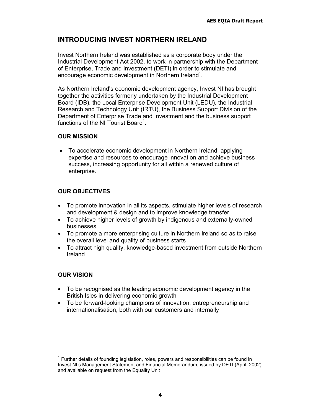# **INTRODUCING INVEST NORTHERN IRELAND**

Invest Northern Ireland was established as a corporate body under the Industrial Development Act 2002, to work in partnership with the Department of Enterprise, Trade and Investment (DETI) in order to stimulate and encourage economic development in Northern Ireland<sup>1</sup>.

As Northern Ireland's economic development agency, Invest NI has brought together the activities formerly undertaken by the Industrial Development Board (IDB), the Local Enterprise Development Unit (LEDU), the Industrial Research and Technology Unit (IRTU), the Business Support Division of the Department of Enterprise Trade and Investment and the business support functions of the NI Tourist Board<sup>1</sup>.

### **OUR MISSION**

• To accelerate economic development in Northern Ireland, applying expertise and resources to encourage innovation and achieve business success, increasing opportunity for all within a renewed culture of enterprise.

# **OUR OBJECTIVES**

- To promote innovation in all its aspects, stimulate higher levels of research and development & design and to improve knowledge transfer
- To achieve higher levels of growth by indigenous and externally-owned businesses
- To promote a more enterprising culture in Northern Ireland so as to raise the overall level and quality of business starts
- To attract high quality, knowledge-based investment from outside Northern Ireland

### **OUR VISION**

- To be recognised as the leading economic development agency in the British Isles in delivering economic growth
- To be forward-looking champions of innovation, entrepreneurship and internationalisation, both with our customers and internally

 $1$  Further details of founding legislation, roles, powers and responsibilities can be found in Invest NI's Management Statement and Financial Memorandum, issued by DETI (April, 2002) and available on request from the Equality Unit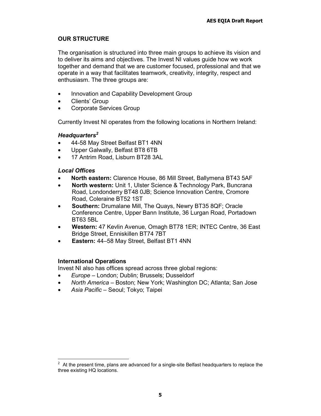# **OUR STRUCTURE**

The organisation is structured into three main groups to achieve its vision and to deliver its aims and objectives. The Invest NI values guide how we work together and demand that we are customer focused, professional and that we operate in a way that facilitates teamwork, creativity, integrity, respect and enthusiasm. The three groups are:

- Innovation and Capability Development Group
- Clients' Group
- Corporate Services Group

Currently Invest NI operates from the following locations in Northern Ireland:

# *Headquarters<sup>2</sup>*

- 44-58 May Street Belfast BT1 4NN
- Upper Galwally, Belfast BT8 6TB
- 17 Antrim Road, Lisburn BT28 3AL

# *Local Offices*

- **North eastern:** Clarence House, 86 Mill Street, Ballymena BT43 5AF
- **North western:** Unit 1, Ulster Science & Technology Park, Buncrana Road, Londonderry BT48 0JB; Science Innovation Centre, Cromore Road, Coleraine BT52 1ST
- **Southern:** Drumalane Mill, The Quays, Newry BT35 8QF; Oracle Conference Centre, Upper Bann Institute, 36 Lurgan Road, Portadown BT63 5BL
- **Western:** 47 Kevlin Avenue, Omagh BT78 1ER; INTEC Centre, 36 East Bridge Street, Enniskillen BT74 7BT
- **Eastern:** 44–58 May Street, Belfast BT1 4NN

# **International Operations**

Invest NI also has offices spread across three global regions:

- *Europe* London; Dublin; Brussels; Dusseldorf
- *North America* Boston; New York; Washington DC; Atlanta; San Jose
- *Asia Pacific* Seoul; Tokyo; Taipei

 $2$  At the present time, plans are advanced for a single-site Belfast headquarters to replace the three existing HQ locations.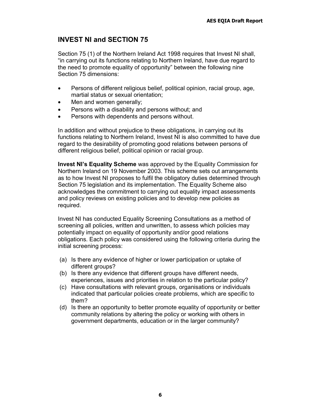# **INVEST NI and SECTION 75**

Section 75 (1) of the Northern Ireland Act 1998 requires that Invest NI shall, "in carrying out its functions relating to Northern Ireland, have due regard to the need to promote equality of opportunity" between the following nine Section 75 dimensions:

- Persons of different religious belief, political opinion, racial group, age, martial status or sexual orientation;
- Men and women generally;
- Persons with a disability and persons without; and
- Persons with dependents and persons without.

In addition and without prejudice to these obligations, in carrying out its functions relating to Northern Ireland, Invest NI is also committed to have due regard to the desirability of promoting good relations between persons of different religious belief, political opinion or racial group.

**Invest NI's Equality Scheme** was approved by the Equality Commission for Northern Ireland on 19 November 2003. This scheme sets out arrangements as to how Invest NI proposes to fulfil the obligatory duties determined through Section 75 legislation and its implementation. The Equality Scheme also acknowledges the commitment to carrying out equality impact assessments and policy reviews on existing policies and to develop new policies as required.

Invest NI has conducted Equality Screening Consultations as a method of screening all policies, written and unwritten, to assess which policies may potentially impact on equality of opportunity and/or good relations obligations. Each policy was considered using the following criteria during the initial screening process:

- (a) Is there any evidence of higher or lower participation or uptake of different groups?
- (b) Is there any evidence that different groups have different needs, experiences, issues and priorities in relation to the particular policy?
- (c) Have consultations with relevant groups, organisations or individuals indicated that particular policies create problems, which are specific to them?
- (d) Is there an opportunity to better promote equality of opportunity or better community relations by altering the policy or working with others in government departments, education or in the larger community?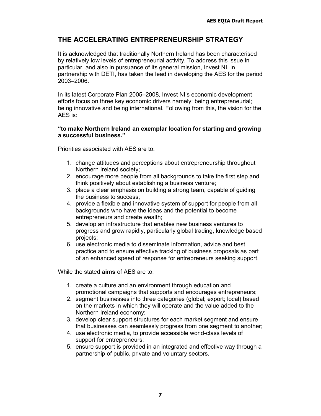# **THE ACCELERATING ENTREPRENEURSHIP STRATEGY**

It is acknowledged that traditionally Northern Ireland has been characterised by relatively low levels of entrepreneurial activity. To address this issue in particular, and also in pursuance of its general mission, Invest NI, in partnership with DETI, has taken the lead in developing the AES for the period 2003–2006.

In its latest Corporate Plan 2005–2008, Invest NI's economic development efforts focus on three key economic drivers namely: being entrepreneurial; being innovative and being international. Following from this, the vision for the AES is:

### **"to make Northern Ireland an exemplar location for starting and growing a successful business."**

Priorities associated with AES are to:

- 1. change attitudes and perceptions about entrepreneurship throughout Northern Ireland society;
- 2. encourage more people from all backgrounds to take the first step and think positively about establishing a business venture;
- 3. place a clear emphasis on building a strong team, capable of guiding the business to success;
- 4. provide a flexible and innovative system of support for people from all backgrounds who have the ideas and the potential to become entrepreneurs and create wealth;
- 5. develop an infrastructure that enables new business ventures to progress and grow rapidly, particularly global trading, knowledge based projects;
- 6. use electronic media to disseminate information, advice and best practice and to ensure effective tracking of business proposals as part of an enhanced speed of response for entrepreneurs seeking support.

While the stated **aims** of AES are to:

- 1. create a culture and an environment through education and promotional campaigns that supports and encourages entrepreneurs;
- 2. segment businesses into three categories (global; export; local) based on the markets in which they will operate and the value added to the Northern Ireland economy;
- 3. develop clear support structures for each market segment and ensure that businesses can seamlessly progress from one segment to another;
- 4. use electronic media, to provide accessible world-class levels of support for entrepreneurs;
- 5. ensure support is provided in an integrated and effective way through a partnership of public, private and voluntary sectors.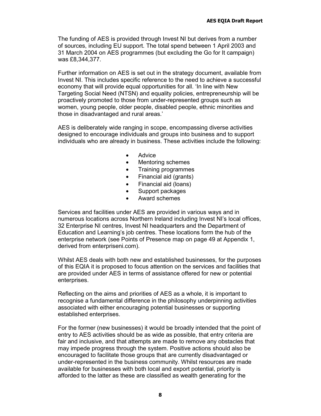The funding of AES is provided through Invest NI but derives from a number of sources, including EU support. The total spend between 1 April 2003 and 31 March 2004 on AES programmes (but excluding the Go for It campaign) was £8,344,377.

Further information on AES is set out in the strategy document, available from Invest NI. This includes specific reference to the need to achieve a successful economy that will provide equal opportunities for all. 'In line with New Targeting Social Need (NTSN) and equality policies, entrepreneurship will be proactively promoted to those from under-represented groups such as women, young people, older people, disabled people, ethnic minorities and those in disadvantaged and rural areas.'

AES is deliberately wide ranging in scope, encompassing diverse activities designed to encourage individuals and groups into business and to support individuals who are already in business. These activities include the following:

- Advice
- Mentoring schemes
- Training programmes
- Financial aid (grants)
- Financial aid (loans)
- Support packages
- Award schemes

Services and facilities under AES are provided in various ways and in numerous locations across Northern Ireland including Invest NI's local offices, 32 Enterprise NI centres, Invest NI headquarters and the Department of Education and Learning's job centres. These locations form the hub of the enterprise network (see Points of Presence map on page 49 at Appendix 1, derived from enterpriseni.com).

Whilst AES deals with both new and established businesses, for the purposes of this EQIA it is proposed to focus attention on the services and facilities that are provided under AES in terms of assistance offered for new or potential enterprises.

Reflecting on the aims and priorities of AES as a whole, it is important to recognise a fundamental difference in the philosophy underpinning activities associated with either encouraging potential businesses or supporting established enterprises.

For the former (new businesses) it would be broadly intended that the point of entry to AES activities should be as wide as possible, that entry criteria are fair and inclusive, and that attempts are made to remove any obstacles that may impede progress through the system. Positive actions should also be encouraged to facilitate those groups that are currently disadvantaged or under-represented in the business community. Whilst resources are made available for businesses with both local and export potential, priority is afforded to the latter as these are classified as wealth generating for the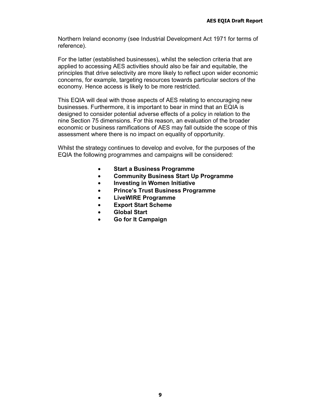Northern Ireland economy (see Industrial Development Act 1971 for terms of reference).

For the latter (established businesses), whilst the selection criteria that are applied to accessing AES activities should also be fair and equitable, the principles that drive selectivity are more likely to reflect upon wider economic concerns, for example, targeting resources towards particular sectors of the economy. Hence access is likely to be more restricted.

This EQIA will deal with those aspects of AES relating to encouraging new businesses. Furthermore, it is important to bear in mind that an EQIA is designed to consider potential adverse effects of a policy in relation to the nine Section 75 dimensions. For this reason, an evaluation of the broader economic or business ramifications of AES may fall outside the scope of this assessment where there is no impact on equality of opportunity.

Whilst the strategy continues to develop and evolve, for the purposes of the EQIA the following programmes and campaigns will be considered:

- **Start a Business Programme**
- **Community Business Start Up Programme**
- **Investing in Women Initiative**
- **Prince's Trust Business Programme**
- **LiveWIRE Programme**
- **Export Start Scheme**
- **Global Start**
- **Go for It Campaign**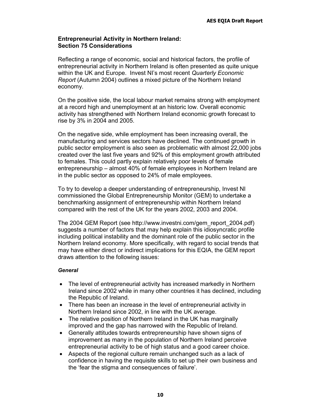### **Entrepreneurial Activity in Northern Ireland: Section 75 Considerations**

Reflecting a range of economic, social and historical factors, the profile of entrepreneurial activity in Northern Ireland is often presented as quite unique within the UK and Europe. Invest NI's most recent *Quarterly Economic Report* (Autumn 2004) outlines a mixed picture of the Northern Ireland economy.

On the positive side, the local labour market remains strong with employment at a record high and unemployment at an historic low. Overall economic activity has strengthened with Northern Ireland economic growth forecast to rise by 3% in 2004 and 2005.

On the negative side, while employment has been increasing overall, the manufacturing and services sectors have declined. The continued growth in public sector employment is also seen as problematic with almost 22,000 jobs created over the last five years and 92% of this employment growth attributed to females. This could partly explain relatively poor levels of female entrepreneurship – almost 40% of female employees in Northern Ireland are in the public sector as opposed to 24% of male employees.

To try to develop a deeper understanding of entrepreneurship, Invest NI commissioned the Global Entrepreneurship Monitor (GEM) to undertake a benchmarking assignment of entrepreneurship within Northern Ireland compared with the rest of the UK for the years 2002, 2003 and 2004.

The 2004 GEM Report (see http://www.investni.com/gem\_report\_2004.pdf) suggests a number of factors that may help explain this idiosyncratic profile including political instability and the dominant role of the public sector in the Northern Ireland economy. More specifically, with regard to social trends that may have either direct or indirect implications for this EQIA, the GEM report draws attention to the following issues:

### *General*

- The level of entrepreneurial activity has increased markedly in Northern Ireland since 2002 while in many other countries it has declined, including the Republic of Ireland.
- There has been an increase in the level of entrepreneurial activity in Northern Ireland since 2002, in line with the UK average.
- The relative position of Northern Ireland in the UK has marginally improved and the gap has narrowed with the Republic of Ireland.
- Generally attitudes towards entrepreneurship have shown signs of improvement as many in the population of Northern Ireland perceive entrepreneurial activity to be of high status and a good career choice.
- Aspects of the regional culture remain unchanged such as a lack of confidence in having the requisite skills to set up their own business and the 'fear the stigma and consequences of failure'.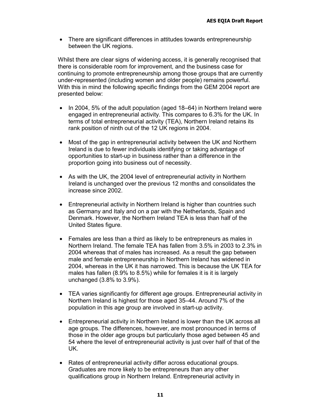• There are significant differences in attitudes towards entrepreneurship between the UK regions.

Whilst there are clear signs of widening access, it is generally recognised that there is considerable room for improvement, and the business case for continuing to promote entrepreneurship among those groups that are currently under-represented (including women and older people) remains powerful. With this in mind the following specific findings from the GEM 2004 report are presented below:

- In 2004, 5% of the adult population (aged 18–64) in Northern Ireland were engaged in entrepreneurial activity. This compares to 6.3% for the UK. In terms of total entrepreneurial activity (TEA), Northern Ireland retains its rank position of ninth out of the 12 UK regions in 2004.
- Most of the gap in entrepreneurial activity between the UK and Northern Ireland is due to fewer individuals identifying or taking advantage of opportunities to start-up in business rather than a difference in the proportion going into business out of necessity.
- As with the UK, the 2004 level of entrepreneurial activity in Northern Ireland is unchanged over the previous 12 months and consolidates the increase since 2002.
- Entrepreneurial activity in Northern Ireland is higher than countries such as Germany and Italy and on a par with the Netherlands, Spain and Denmark. However, the Northern Ireland TEA is less than half of the United States figure.
- Females are less than a third as likely to be entrepreneurs as males in Northern Ireland. The female TEA has fallen from 3.5% in 2003 to 2.3% in 2004 whereas that of males has increased. As a result the gap between male and female entrepreneurship in Northern Ireland has widened in 2004, whereas in the UK it has narrowed. This is because the UK TEA for males has fallen (8.9% to 8.5%) while for females it is it is largely unchanged (3.8% to 3.9%).
- TEA varies significantly for different age groups. Entrepreneurial activity in Northern Ireland is highest for those aged 35–44. Around 7% of the population in this age group are involved in start-up activity.
- Entrepreneurial activity in Northern Ireland is lower than the UK across all age groups. The differences, however, are most pronounced in terms of those in the older age groups but particularly those aged between 45 and 54 where the level of entrepreneurial activity is just over half of that of the UK.
- Rates of entrepreneurial activity differ across educational groups. Graduates are more likely to be entrepreneurs than any other qualifications group in Northern Ireland. Entrepreneurial activity in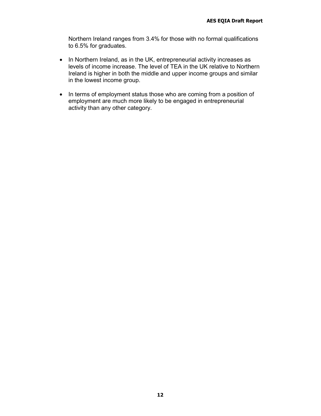Northern Ireland ranges from 3.4% for those with no formal qualifications to 6.5% for graduates.

- In Northern Ireland, as in the UK, entrepreneurial activity increases as levels of income increase. The level of TEA in the UK relative to Northern Ireland is higher in both the middle and upper income groups and similar in the lowest income group.
- In terms of employment status those who are coming from a position of employment are much more likely to be engaged in entrepreneurial activity than any other category.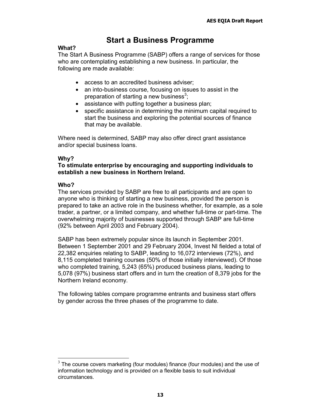# **Start a Business Programme**

### **What?**

The Start A Business Programme (SABP) offers a range of services for those who are contemplating establishing a new business. In particular, the following are made available:

- access to an accredited business adviser;
- an into-business course, focusing on issues to assist in the preparation of starting a new business $3$ ;
- assistance with putting together a business plan;
- specific assistance in determining the minimum capital required to start the business and exploring the potential sources of finance that may be available.

Where need is determined, SABP may also offer direct grant assistance and/or special business loans.

### **Why?**

### **To stimulate enterprise by encouraging and supporting individuals to establish a new business in Northern Ireland.**

### **Who?**

The services provided by SABP are free to all participants and are open to anyone who is thinking of starting a new business, provided the person is prepared to take an active role in the business whether, for example, as a sole trader, a partner, or a limited company, and whether full-time or part-time. The overwhelming majority of businesses supported through SABP are full-time (92% between April 2003 and February 2004).

SABP has been extremely popular since its launch in September 2001. Between 1 September 2001 and 29 February 2004, Invest NI fielded a total of 22,382 enquiries relating to SABP, leading to 16,072 interviews (72%), and 8,115 completed training courses (50% of those initially interviewed). Of those who completed training, 5,243 (65%) produced business plans, leading to 5,078 (97%) business start offers and in turn the creation of 8,379 jobs for the Northern Ireland economy.

The following tables compare programme entrants and business start offers by gender across the three phases of the programme to date.

  $3$  The course covers marketing (four modules) finance (four modules) and the use of information technology and is provided on a flexible basis to suit individual circumstances.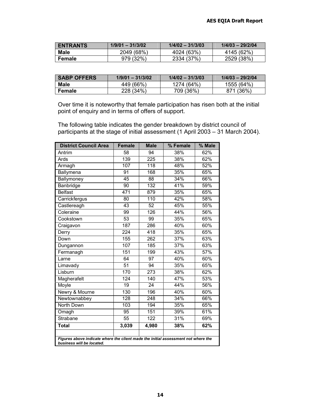| <b>ENTRANTS</b> | $1/9/01 - 31/3/02$ | $1/4/02 - 31/3/03$ | $1/4/03 - 29/2/04$ |
|-----------------|--------------------|--------------------|--------------------|
| <b>Male</b>     | 2049 (68%)         | 4024 (63%)         | 4145 (62%)         |
| Female          | 979 (32%)          | 2334 (37%)         | 2529 (38%)         |

| <b>SABP OFFERS</b> | $1/9/01 - 31/3/02$ | $1/4/02 - 31/3/03$ | $1/4/03 - 29/2/04$ |
|--------------------|--------------------|--------------------|--------------------|
| Male               | 449 (66%)          | 1274 (64%)         | 1555 (64%)         |
| Female             | 228 (34%)          | 709 (36%)          | 871 (36%)          |

Over time it is noteworthy that female participation has risen both at the initial point of enquiry and in terms of offers of support.

The following table indicates the gender breakdown by district council of participants at the stage of initial assessment (1 April 2003 – 31 March 2004).

| <b>District Council Area</b>                                                                                   | <b>Female</b>    | <b>Male</b>      | % Female | $%$ Male |
|----------------------------------------------------------------------------------------------------------------|------------------|------------------|----------|----------|
| Antrim                                                                                                         | 58               | 94               | 38%      | 62%      |
| Ards                                                                                                           | 139              | 225              | 38%      | 62%      |
| Armagh                                                                                                         | 107              | $\overline{118}$ | 48%      | 52%      |
| Ballymena                                                                                                      | 91               | 168              | 35%      | 65%      |
| Ballymoney                                                                                                     | 45               | 88               | 34%      | 66%      |
| Banbridge                                                                                                      | 90               | $\overline{132}$ | 41%      | 59%      |
| <b>Belfast</b>                                                                                                 | 471              | 879              | 35%      | 65%      |
| Carrickfergus                                                                                                  | 80               | 110              | 42%      | 58%      |
| Castlereagh                                                                                                    | 43               | 52               | 45%      | 55%      |
| Coleraine                                                                                                      | $\overline{99}$  | 126              | 44%      | 56%      |
| Cookstown                                                                                                      | 53               | 99               | 35%      | 65%      |
| Craigavon                                                                                                      | 187              | 286              | 40%      | 60%      |
| Derry                                                                                                          | 224              | $\overline{418}$ | 35%      | 65%      |
| Down                                                                                                           | 155              | 262              | 37%      | 63%      |
| Dungannon                                                                                                      | 107              | 185              | 37%      | 63%      |
| Fermanagh                                                                                                      | 151              | 199              | 43%      | 57%      |
| Larne                                                                                                          | 64               | $\overline{97}$  | 40%      | 60%      |
| Limavady                                                                                                       | $\overline{51}$  | $\overline{94}$  | 35%      | 65%      |
| Lisburn                                                                                                        | 170              | 273              | 38%      | 62%      |
| Magherafelt                                                                                                    | $\overline{124}$ | 140              | 47%      | 53%      |
| Moyle                                                                                                          | $\overline{19}$  | $\overline{24}$  | 44%      | 56%      |
| Newry & Mourne                                                                                                 | 130              | 196              | 40%      | 60%      |
| Newtownabbey                                                                                                   | 128              | 248              | 34%      | 66%      |
| <b>North Down</b>                                                                                              | 103              | 194              | 35%      | 65%      |
| Omagh                                                                                                          | 95               | 151              | 39%      | 61%      |
| Strabane                                                                                                       | 55               | $\overline{1}22$ | 31%      | 69%      |
| <b>Total</b>                                                                                                   | 3,039            | 4,980            | 38%      | 62%      |
|                                                                                                                |                  |                  |          |          |
| Figures above indicate where the client made the initial assessment not where the<br>business will be located. |                  |                  |          |          |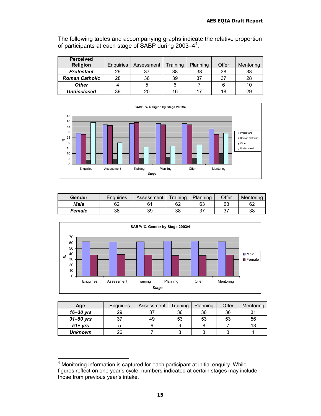The following tables and accompanying graphs indicate the relative proportion of participants at each stage of SABP during 2003-4<sup>4</sup>.

| <b>Perceived</b>      |                  |            |          |          |       |           |
|-----------------------|------------------|------------|----------|----------|-------|-----------|
| <b>Religion</b>       | <b>Enguiries</b> | Assessment | Training | Planning | Offer | Mentoring |
| <b>Protestant</b>     | 29               | 37         | 38       | 38       | 38    | 33        |
| <b>Roman Catholic</b> | 28               | 36         | 39       | 37       | 37    | 28        |
| <b>Other</b>          |                  | 5          |          |          |       | 10        |
| <b>Undisclosed</b>    | 39               | 20         | 16       |          | 18    | 29        |



| Gender      | <b>Enguiries</b> | Assessment | Training | Planning  | Offer    | Mentoring |
|-------------|------------------|------------|----------|-----------|----------|-----------|
| <b>Male</b> | 62               | c,         | 62       | 63        | 63       | 62        |
| Female      | 38               | 39         | 38       | っっ<br>ບ ເ | דפ<br>ັບ | 38        |



| Age            | Enquiries | Assessment | Training | Planning | Offer | Mentoring |
|----------------|-----------|------------|----------|----------|-------|-----------|
| $16 - 30$ yrs  | 29        | 37         | 36       | 36       | 36    |           |
| $31 - 50$ yrs  | 37        | 49         | 53       | 53       | 53    | 56        |
| $51 + yrs$     |           |            |          |          |       | 13        |
| <b>Unknown</b> | 26        |            |          |          |       |           |

 <sup>4</sup> Monitoring information is captured for each participant at initial enquiry. While figures reflect on one year's cycle, numbers indicated at certain stages may include those from previous year's intake.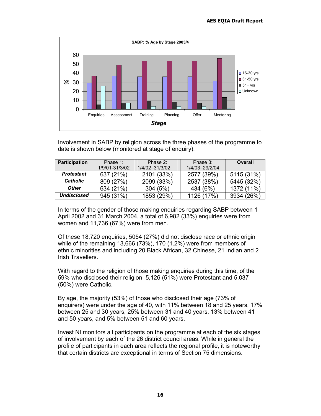

Involvement in SABP by religion across the three phases of the programme to date is shown below (monitored at stage of enquiry):

| <b>Participation</b> | Phase $1$ :    | Phase 2:       | Phase 3:       | Overall    |
|----------------------|----------------|----------------|----------------|------------|
|                      | 1/9/01-31/3/02 | 1/4/02-31/3/02 | 1/4/03-29/2/04 |            |
| Protestant           | 637 (21%)      | 2101 (33%)     | 2577 (39%)     | 5115 (31%) |
| <b>Catholic</b>      | 809 (27%)      | 2099 (33%)     | 2537 (38%)     | 5445 (32%) |
| <b>Other</b>         | 634 (21%)      | 304(5%)        | 434 (6%)       | 1372 (11%) |
| Undisclosed          | 945 (31%)      | 1853 (29%)     | 1126 (17%)     | 3934 (26%) |

In terms of the gender of those making enquiries regarding SABP between 1 April 2002 and 31 March 2004, a total of 6,982 (33%) enquiries were from women and 11,736 (67%) were from men.

Of these 18,720 enquiries, 5054 (27%) did not disclose race or ethnic origin while of the remaining 13,666 (73%), 170 (1.2%) were from members of ethnic minorities and including 20 Black African, 32 Chinese, 21 Indian and 2 Irish Travellers.

With regard to the religion of those making enquiries during this time, of the 59% who disclosed their religion 5,126 (51%) were Protestant and 5,037 (50%) were Catholic.

By age, the majority (53%) of those who disclosed their age (73% of enquirers) were under the age of 40, with 11% between 18 and 25 years, 17% between 25 and 30 years, 25% between 31 and 40 years, 13% between 41 and 50 years, and 5% between 51 and 60 years.

Invest NI monitors all participants on the programme at each of the six stages of involvement by each of the 26 district council areas. While in general the profile of participants in each area reflects the regional profile, it is noteworthy that certain districts are exceptional in terms of Section 75 dimensions.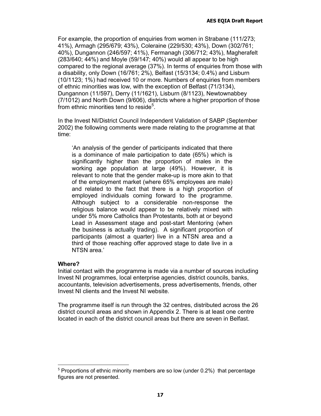For example, the proportion of enquiries from women in Strabane (111/273; 41%), Armagh (295/679; 43%), Coleraine (229/530; 43%), Down (302/761; 40%), Dungannon (246/597; 41%), Fermanagh (306/712; 43%), Magherafelt (283/640; 44%) and Moyle (59/147; 40%) would all appear to be high compared to the regional average (37%). In terms of enquiries from those with a disability, only Down (16/761; 2%), Belfast (15/3134; 0.4%) and Lisburn (10/1123; 1%) had received 10 or more. Numbers of enquiries from members of ethnic minorities was low, with the exception of Belfast (71/3134), Dungannon (11/597), Derry (11/1621), Lisburn (8/1123), Newtownabbey (7/1012) and North Down (9/606), districts where a higher proportion of those from ethnic minorities tend to reside<sup>5</sup>.

In the Invest NI/District Council Independent Validation of SABP (September 2002) the following comments were made relating to the programme at that time:

'An analysis of the gender of participants indicated that there is a dominance of male participation to date (65%) which is significantly higher than the proportion of males in the working age population at large (49%). However, it is relevant to note that the gender make-up is more akin to that of the employment market (where 65% employees are male) and related to the fact that there is a high proportion of employed individuals coming forward to the programme. Although subject to a considerable non-response the religious balance would appear to be relatively mixed with under 5% more Catholics than Protestants, both at or beyond Lead in Assessment stage and post-start Mentoring (when the business is actually trading). A significant proportion of participants (almost a quarter) live in a NTSN area and a third of those reaching offer approved stage to date live in a NTSN area.'

#### **Where?**

Initial contact with the programme is made via a number of sources including Invest NI programmes, local enterprise agencies, district councils, banks, accountants, television advertisements, press advertisements, friends, other Invest NI clients and the Invest NI website.

The programme itself is run through the 32 centres, distributed across the 26 district council areas and shown in Appendix 2. There is at least one centre located in each of the district council areas but there are seven in Belfast.

 $5$  Proportions of ethnic minority members are so low (under 0.2%) that percentage figures are not presented.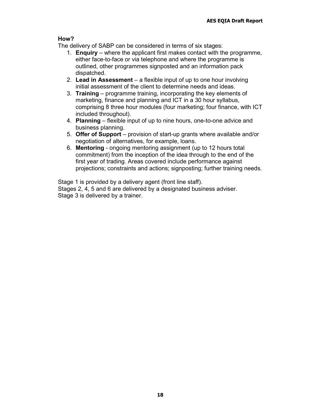### **How?**

The delivery of SABP can be considered in terms of six stages:

- 1. **Enquiry** where the applicant first makes contact with the programme, either face-to-face or via telephone and where the programme is outlined, other programmes signposted and an information pack dispatched.
- 2. **Lead in Assessment** a flexible input of up to one hour involving initial assessment of the client to determine needs and ideas.
- 3. **Training** programme training, incorporating the key elements of marketing, finance and planning and ICT in a 30 hour syllabus, comprising 8 three hour modules (four marketing; four finance, with ICT included throughout).
- 4. **Planning**  flexible input of up to nine hours, one-to-one advice and business planning.
- 5. **Offer of Support**  provision of start-up grants where available and/or negotiation of alternatives, for example, loans.
- 6. **Mentoring** ongoing mentoring assignment (up to 12 hours total commitment) from the inception of the idea through to the end of the first year of trading. Areas covered include performance against projections; constraints and actions; signposting; further training needs.

Stage 1 is provided by a delivery agent (front line staff). Stages 2, 4, 5 and 6 are delivered by a designated business adviser. Stage 3 is delivered by a trainer.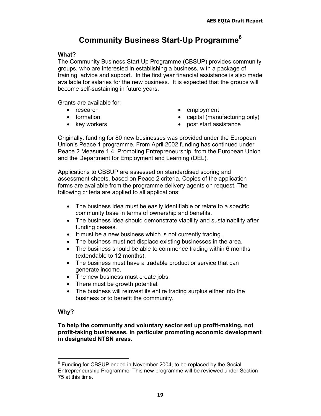# **Community Business Start-Up Programme6**

### **What?**

The Community Business Start Up Programme (CBSUP) provides community groups, who are interested in establishing a business, with a package of training, advice and support. In the first year financial assistance is also made available for salaries for the new business. It is expected that the groups will become self-sustaining in future years.

Grants are available for:

- research
- formation
- key workers
- employment
- capital (manufacturing only)
- post start assistance

Originally, funding for 80 new businesses was provided under the European Union's Peace 1 programme. From April 2002 funding has continued under Peace 2 Measure 1.4, Promoting Entrepreneurship, from the European Union and the Department for Employment and Learning (DEL).

Applications to CBSUP are assessed on standardised scoring and assessment sheets, based on Peace 2 criteria. Copies of the application forms are available from the programme delivery agents on request. The following criteria are applied to all applications:

- The business idea must be easily identifiable or relate to a specific community base in terms of ownership and benefits.
- The business idea should demonstrate viability and sustainability after funding ceases.
- It must be a new business which is not currently trading.
- The business must not displace existing businesses in the area.
- The business should be able to commence trading within 6 months (extendable to 12 months).
- The business must have a tradable product or service that can generate income.
- The new business must create jobs.
- There must be growth potential.
- The business will reinvest its entire trading surplus either into the business or to benefit the community.

# **Why?**

**To help the community and voluntary sector set up profit-making, not profit-taking businesses, in particular promoting economic development in designated NTSN areas.** 

<sup>&</sup>lt;sup>6</sup> Funding for CBSUP ended in November 2004, to be replaced by the Social Entrepreneurship Programme. This new programme will be reviewed under Section 75 at this time.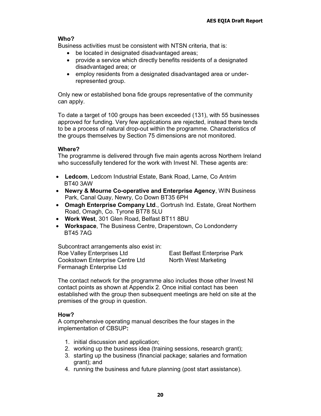### **Who?**

Business activities must be consistent with NTSN criteria, that is:

- be located in designated disadvantaged areas;
- provide a service which directly benefits residents of a designated disadvantaged area; or
- employ residents from a designated disadvantaged area or underrepresented group.

Only new or established bona fide groups representative of the community can apply.

To date a target of 100 groups has been exceeded (131), with 55 businesses approved for funding. Very few applications are rejected, instead there tends to be a process of natural drop-out within the programme. Characteristics of the groups themselves by Section 75 dimensions are not monitored.

### **Where?**

The programme is delivered through five main agents across Northern Ireland who successfully tendered for the work with Invest NI. These agents are:

- **Ledcom**, Ledcom Industrial Estate, Bank Road, Larne, Co Antrim BT40 3AW
- **Newry & Mourne Co-operative and Enterprise Agency**, WIN Business Park, Canal Quay, Newry, Co Down BT35 6PH
- **Omagh Enterprise Company Ltd**., Gortrush Ind. Estate, Great Northern Road, Omagh, Co. Tyrone BT78 5LU
- **Work West**, 301 Glen Road, Belfast BT11 8BU
- **Workspace**, The Business Centre, Draperstown, Co Londonderry BT45 7AG

Subcontract arrangements also exist in: Roe Valley Enterprises Ltd Cookstown Enterprise Centre Ltd Fermanagh Enterprise Ltd

East Belfast Enterprise Park North West Marketing

The contact network for the programme also includes those other Invest NI contact points as shown at Appendix 2. Once initial contact has been established with the group then subsequent meetings are held on site at the premises of the group in question.

### **How?**

A comprehensive operating manual describes the four stages in the implementation of CBSUP**:** 

- 1. initial discussion and application;
- 2. working up the business idea (training sessions, research grant);
- 3. starting up the business (financial package; salaries and formation grant); and
- 4. running the business and future planning (post start assistance).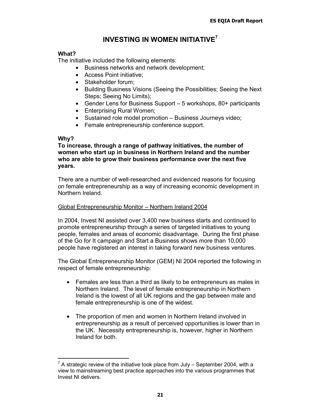# **INVESTING IN WOMEN INITIATIVE7**

### **What?**

The initiative included the following elements:

- Business networks and network development;
- Access Point initiative;
- Stakeholder forum:
- Building Business Visions (Seeing the Possibilities; Seeing the Next Steps; Seeing No Limits);
- Gender Lens for Business Support 5 workshops, 80+ participants
- Enterprising Rural Women;
- Sustained role model promotion Business Journeys video;
- Female entrepreneurship conference support.

### **Why?**

**To increase, through a range of pathway initiatives, the number of women who start up in business in Northern Ireland and the number who are able to grow their business performance over the next five years.** 

There are a number of well-researched and evidenced reasons for focusing on female entrepreneurship as a way of increasing economic development in Northern Ireland.

### Global Entrepreneurship Monitor – Northern Ireland 2004

In 2004, Invest NI assisted over 3,400 new business starts and continued to promote entrepreneurship through a series of targeted initiatives to young people, females and areas of economic disadvantage. During the first phase of the Go for It campaign and Start a Business shows more than 10,000 people have registered an interest in taking forward new business ventures.

The Global Entrepreneurship Monitor (GEM) NI 2004 reported the following in respect of female entrepreneurship:

- Females are less than a third as likely to be entrepreneurs as males in Northern Ireland. The level of female entrepreneurship in Northern Ireland is the lowest of all UK regions and the gap between male and female entrepreneurship is one of the widest.
- The proportion of men and women in Northern Ireland involved in entrepreneurship as a result of perceived opportunities is lower than in the UK. Necessity entrepreneurship is, however, higher in Northern Ireland for both.

 $7$  A strategic review of the initiative took place from July – September 2004, with a view to mainstreaming best practice approaches into the various programmes that Invest NI delivers.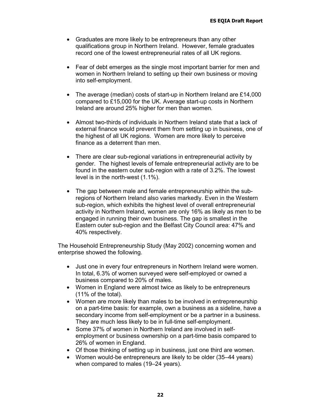- Graduates are more likely to be entrepreneurs than any other qualifications group in Northern Ireland. However, female graduates record one of the lowest entrepreneurial rates of all UK regions.
- Fear of debt emerges as the single most important barrier for men and women in Northern Ireland to setting up their own business or moving into self-employment.
- The average (median) costs of start-up in Northern Ireland are £14,000 compared to £15,000 for the UK. Average start-up costs in Northern Ireland are around 25% higher for men than women.
- Almost two-thirds of individuals in Northern Ireland state that a lack of external finance would prevent them from setting up in business, one of the highest of all UK regions. Women are more likely to perceive finance as a deterrent than men.
- There are clear sub-regional variations in entrepreneurial activity by gender. The highest levels of female entrepreneurial activity are to be found in the eastern outer sub-region with a rate of 3.2%. The lowest level is in the north-west (1.1%).
- The gap between male and female entrepreneurship within the subregions of Northern Ireland also varies markedly. Even in the Western sub-region, which exhibits the highest level of overall entrepreneurial activity in Northern Ireland, women are only 16% as likely as men to be engaged in running their own business. The gap is smallest in the Eastern outer sub-region and the Belfast City Council area: 47% and 40% respectively.

The Household Entrepreneurship Study (May 2002) concerning women and enterprise showed the following.

- Just one in every four entrepreneurs in Northern Ireland were women. In total, 6.3% of women surveyed were self-employed or owned a business compared to 20% of males.
- Women in England were almost twice as likely to be entrepreneurs (11% of the total).
- Women are more likely than males to be involved in entrepreneurship on a part-time basis: for example, own a business as a sideline, have a secondary income from self-employment or be a partner in a business. They are much less likely to be in full-time self-employment.
- Some 37% of women in Northern Ireland are involved in selfemployment or business ownership on a part-time basis compared to 26% of women in England.
- Of those thinking of setting up in business, just one third are women.
- Women would-be entrepreneurs are likely to be older (35–44 years) when compared to males (19–24 years).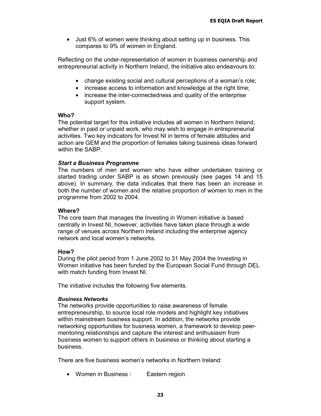• Just 6% of women were thinking about setting up in business. This compares to 9% of women in England.

Reflecting on the under-representation of women in business ownership and entrepreneurial activity in Northern Ireland, the initiative also endeavours to:

- change existing social and cultural perceptions of a woman's role;
- increase access to information and knowledge at the right time;
- increase the inter-connectedness and quality of the enterprise support system.

#### **Who?**

The potential target for this initiative includes all women in Northern Ireland, whether in paid or unpaid work, who may wish to engage in entrepreneurial activities. Two key indicators for Invest NI in terms of female attitudes and action are GEM and the proportion of females taking business ideas forward within the SABP.

### *Start a Business Programme*

The numbers of men and women who have either undertaken training or started trading under SABP is as shown previously (see pages 14 and 15 above). In summary, the data indicates that there has been an increase in both the number of women and the relative proportion of women to men in the programme from 2002 to 2004.

### **Where?**

The core team that manages the Investing in Women initiative is based centrally in Invest NI, however, activities have taken place through a wide range of venues across Northern Ireland including the enterprise agency network and local women's networks.

### **How?**

During the pilot period from 1 June 2002 to 31 May 2004 the Investing in Women initiative has been funded by the European Social Fund through DEL with match funding from Invest NI.

The initiative includes the following five elements.

### *Business Networks*

The networks provide opportunities to raise awareness of female entrepreneurship, to source local role models and highlight key initiatives within mainstream business support. In addition, the networks provide networking opportunities for business women, a framework to develop peermentoring relationships and capture the interest and enthusiasm from business women to support others in business or thinking about starting a business.

There are five business women's networks in Northern Ireland:

• Women in Business : Eastern region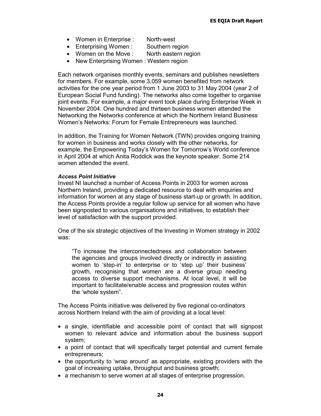- Women in Enterprise : North-west
- Enterprising Women : Southern region
- Women on the Move : North eastern region
- New Enterprising Women : Western region

Each network organises monthly events, seminars and publishes newsletters for members. For example, some 3,059 women benefited from network activities for the one year period from 1 June 2003 to 31 May 2004 (year 2 of European Social Fund funding). The networks also come together to organise joint events. For example, a major event took place during Enterprise Week in November 2004. One hundred and thirteen business women attended the Networking the Networks conference at which the Northern Ireland Business Women's Networks: Forum for Female Entrepreneurs was launched.

In addition, the Training for Women Network (TWN) provides ongoing training for women in business and works closely with the other networks, for example, the Empowering Today's Women for Tomorrow's World conference in April 2004 at which Anita Roddick was the keynote speaker. Some 214 women attended the event.

### *Access Point Initiative*

Invest NI launched a number of Access Points in 2003 for women across Northern Ireland, providing a dedicated resource to deal with enquiries and information for women at any stage of business start-up or growth. In addition, the Access Points provide a regular follow up service for all women who have been signposted to various organisations and initiatives, to establish their level of satisfaction with the support provided.

One of the six strategic objectives of the Investing in Women strategy in 2002 was:

"To increase the interconnectedness and collaboration between the agencies and groups involved directly or indirectly in assisting women to 'step-in' to enterprise or to 'step up' their business' growth, recognising that women are a diverse group needing access to diverse support mechanisms. At local level, it will be important to facilitate/enable access and progression routes within the 'whole system".

The Access Points initiative was delivered by five regional co-ordinators across Northern Ireland with the aim of providing at a local level:

- a single, identifiable and accessible point of contact that will signpost women to relevant advice and information about the business support system;
- a point of contact that will specifically target potential and current female entrepreneurs;
- the opportunity to 'wrap around' as appropriate, existing providers with the goal of increasing uptake, throughput and business growth;
- a mechanism to serve women at all stages of enterprise progression.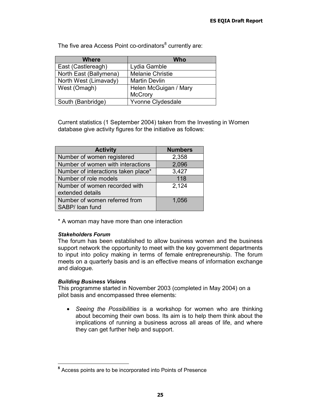| <b>Where</b>           | Who                     |
|------------------------|-------------------------|
| East (Castlereagh)     | Lydia Gamble            |
| North East (Ballymena) | <b>Melanie Christie</b> |
| North West (Limavady)  | <b>Martin Devlin</b>    |
| West (Omagh)           | Helen McGuigan / Mary   |
|                        | <b>McCrory</b>          |
| South (Banbridge)      | Yvonne Clydesdale       |

The five area Access Point co-ordinators<sup>8</sup> currently are:

Current statistics (1 September 2004) taken from the Investing in Women database give activity figures for the initiative as follows:

| <b>Activity</b>                                   | <b>Numbers</b> |
|---------------------------------------------------|----------------|
| Number of women registered                        | 2,358          |
| Number of women with interactions                 | 2,096          |
| Number of interactions taken place*               | 3,427          |
| Number of role models                             | 118            |
| Number of women recorded with<br>extended details | 2,124          |
| Number of women referred from<br>SABP/ loan fund  | 1,056          |

\* A woman may have more than one interaction

#### *Stakeholders Forum*

The forum has been established to allow business women and the business support network the opportunity to meet with the key government departments to input into policy making in terms of female entrepreneurship. The forum meets on a quarterly basis and is an effective means of information exchange and dialogue.

### *Building Business Visions*

This programme started in November 2003 (completed in May 2004) on a pilot basis and encompassed three elements:

• *Seeing the Possibilities* is a workshop for women who are thinking about becoming their own boss. Its aim is to help them think about the implications of running a business across all areas of life, and where they can get further help and support.

**<sup>8</sup>** Access points are to be incorporated into Points of Presence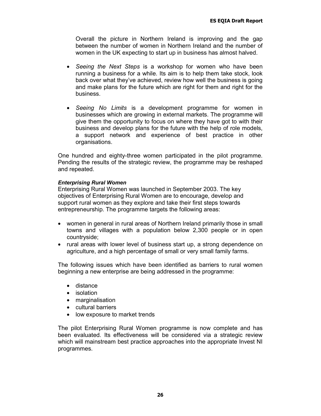Overall the picture in Northern Ireland is improving and the gap between the number of women in Northern Ireland and the number of women in the UK expecting to start up in business has almost halved.

- *Seeing the Next Steps* is a workshop for women who have been running a business for a while. Its aim is to help them take stock, look back over what they've achieved, review how well the business is going and make plans for the future which are right for them and right for the business.
- *Seeing No Limits* is a development programme for women in businesses which are growing in external markets. The programme will give them the opportunity to focus on where they have got to with their business and develop plans for the future with the help of role models, a support network and experience of best practice in other organisations.

One hundred and eighty-three women participated in the pilot programme. Pending the results of the strategic review, the programme may be reshaped and repeated.

### *Enterprising Rural Women*

Enterprising Rural Women was launched in September 2003. The key objectives of Enterprising Rural Women are to encourage, develop and support rural women as they explore and take their first steps towards entrepreneurship. The programme targets the following areas:

- women in general in rural areas of Northern Ireland primarily those in small towns and villages with a population below 2,300 people or in open countryside;
- rural areas with lower level of business start up, a strong dependence on agriculture, and a high percentage of small or very small family farms.

The following issues which have been identified as barriers to rural women beginning a new enterprise are being addressed in the programme:

- distance
- isolation
- marginalisation
- cultural barriers
- low exposure to market trends

The pilot Enterprising Rural Women programme is now complete and has been evaluated. Its effectiveness will be considered via a strategic review which will mainstream best practice approaches into the appropriate Invest NI programmes.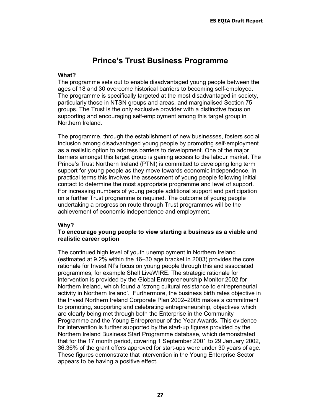# **Prince's Trust Business Programme**

### **What?**

The programme sets out to enable disadvantaged young people between the ages of 18 and 30 overcome historical barriers to becoming self-employed. The programme is specifically targeted at the most disadvantaged in society, particularly those in NTSN groups and areas, and marginalised Section 75 groups. The Trust is the only exclusive provider with a distinctive focus on supporting and encouraging self-employment among this target group in Northern Ireland.

The programme, through the establishment of new businesses, fosters social inclusion among disadvantaged young people by promoting self-employment as a realistic option to address barriers to development. One of the major barriers amongst this target group is gaining access to the labour market. The Prince's Trust Northern Ireland (PTNI) is committed to developing long term support for young people as they move towards economic independence. In practical terms this involves the assessment of young people following initial contact to determine the most appropriate programme and level of support. For increasing numbers of young people additional support and participation on a further Trust programme is required. The outcome of young people undertaking a progression route through Trust programmes will be the achievement of economic independence and employment.

### **Why?**

### **To encourage young people to view starting a business as a viable and realistic career option**

The continued high level of youth unemployment in Northern Ireland (estimated at 9.2% within the 16–30 age bracket in 2003) provides the core rationale for Invest NI's focus on young people through this and associated programmes, for example Shell LiveWIRE. The strategic rationale for intervention is provided by the Global Entrepreneurship Monitor 2002 for Northern Ireland, which found a 'strong cultural resistance to entrepreneurial activity in Northern Ireland'. Furthermore, the business birth rates objective in the Invest Northern Ireland Corporate Plan 2002–2005 makes a commitment to promoting, supporting and celebrating entrepreneurship, objectives which are clearly being met through both the Enterprise in the Community Programme and the Young Entrepreneur of the Year Awards. This evidence for intervention is further supported by the start-up figures provided by the Northern Ireland Business Start Programme database, which demonstrated that for the 17 month period, covering 1 September 2001 to 29 January 2002, 36.36% of the grant offers approved for start-ups were under 30 years of age. These figures demonstrate that intervention in the Young Enterprise Sector appears to be having a positive effect.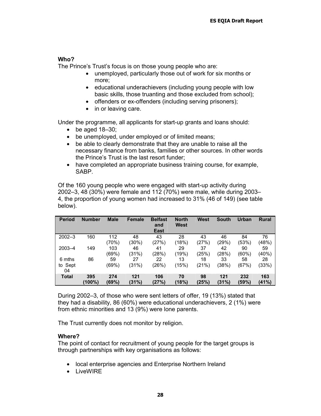### **Who?**

The Prince's Trust's focus is on those young people who are:

- unemployed, particularly those out of work for six months or more;
- educational underachievers (including young people with low basic skills, those truanting and those excluded from school);
- offenders or ex-offenders (including serving prisoners);
- in or leaving care.

Under the programme, all applicants for start-up grants and loans should:

- $\bullet$  be aged 18–30;
- be unemployed, under employed or of limited means;
- be able to clearly demonstrate that they are unable to raise all the necessary finance from banks, families or other sources. In other words the Prince's Trust is the last resort funder;
- have completed an appropriate business training course, for example, SABP.

Of the 160 young people who were engaged with start-up activity during 2002–3, 48 (30%) were female and 112 (70%) were male, while during 2003– 4, the proportion of young women had increased to 31% (46 of 149) (see table below).

| <b>Period</b>           | <b>Number</b> | <b>Male</b>  | Female         | <b>Belfast</b><br>and<br><b>East</b> | <b>North</b><br>West | <b>West</b> | <b>South</b> | Urban        | <b>Rural</b> |
|-------------------------|---------------|--------------|----------------|--------------------------------------|----------------------|-------------|--------------|--------------|--------------|
| $2002 - 3$              | 160           | 112<br>(70%) | 48<br>$(30\%)$ | 43<br>(27%)                          | 28<br>(18%)          | 43<br>(27%) | 46<br>(29%)  | 84<br>(53%)  | 76<br>(48%)  |
| $2003 - 4$              | 149           | 103<br>(69%) | 46<br>(31%)    | 41<br>(28%)                          | 29<br>(19%)          | 37<br>(25%) | 42<br>(28%)  | 90<br>(60%)  | 59<br>(40%)  |
| 6 mths<br>to Sept<br>04 | 86            | 59<br>(69%)  | 27<br>(31%)    | 22<br>(26%)                          | 13<br>(15%)          | 18<br>(21%) | 33<br>(38%)  | 58<br>(67%)  | 28<br>(33%)  |
| <b>Total</b>            | 395<br>(100%) | 274<br>(69%) | 121<br>(31%)   | 106<br>(27%)                         | 70<br>(18%)          | 98<br>(25%) | 121<br>(31%) | 232<br>(59%) | 163<br>(41%) |

During 2002–3, of those who were sent letters of offer, 19 (13%) stated that they had a disability, 86 (60%) were educational underachievers, 2 (1%) were from ethnic minorities and 13 (9%) were lone parents.

The Trust currently does not monitor by religion.

### **Where?**

The point of contact for recruitment of young people for the target groups is through partnerships with key organisations as follows:

- local enterprise agencies and Enterprise Northern Ireland
- LiveWIRE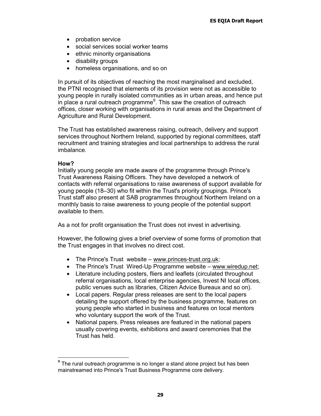- probation service
- social services social worker teams
- ethnic minority organisations
- disability groups
- homeless organisations, and so on

In pursuit of its objectives of reaching the most marginalised and excluded, the PTNI recognised that elements of its provision were not as accessible to young people in rurally isolated communities as in urban areas, and hence put in place a rural outreach programme $9$ . This saw the creation of outreach offices, closer working with organisations in rural areas and the Department of Agriculture and Rural Development.

The Trust has established awareness raising, outreach, delivery and support services throughout Northern Ireland, supported by regional committees, staff recruitment and training strategies and local partnerships to address the rural imbalance.

### **How?**

Initially young people are made aware of the programme through Prince's Trust Awareness Raising Officers. They have developed a network of contacts with referral organisations to raise awareness of support available for young people (18–30) who fit within the Trust's priority groupings. Prince's Trust staff also present at SAB programmes throughout Northern Ireland on a monthly basis to raise awareness to young people of the potential support available to them.

As a not for profit organisation the Trust does not invest in advertising.

However, the following gives a brief overview of some forms of promotion that the Trust engages in that involves no direct cost.

- The Prince's Trust website www.princes-trust.org.uk;
- The Prince's Trust Wired-Up Programme website www.wiredup.net;
- Literature including posters, fliers and leaflets (circulated throughout referral organisations, local enterprise agencies, Invest NI local offices, public venues such as libraries, Citizen Advice Bureaux and so on).
- Local papers. Regular press releases are sent to the local papers detailing the support offered by the business programme, features on young people who started in business and features on local mentors who voluntary support the work of the Trust.
- National papers. Press releases are featured in the national papers usually covering events, exhibitions and award ceremonies that the Trust has held.

**<sup>9</sup>** The rural outreach programme is no longer a stand alone project but has been mainstreamed into Prince's Trust Business Programme core delivery.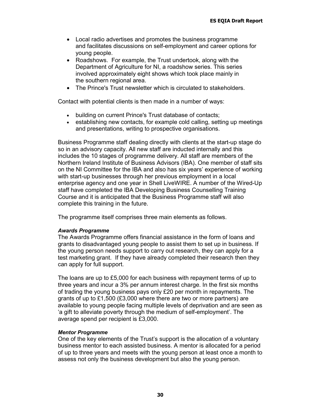- Local radio advertises and promotes the business programme and facilitates discussions on self-employment and career options for young people.
- Roadshows. For example, the Trust undertook, along with the Department of Agriculture for NI, a roadshow series. This series involved approximately eight shows which took place mainly in the southern regional area.
- The Prince's Trust newsletter which is circulated to stakeholders.

Contact with potential clients is then made in a number of ways:

- building on current Prince's Trust database of contacts;
- establishing new contacts, for example cold calling, setting up meetings and presentations, writing to prospective organisations.

Business Programme staff dealing directly with clients at the start-up stage do so in an advisory capacity. All new staff are inducted internally and this includes the 10 stages of programme delivery. All staff are members of the Northern Ireland Institute of Business Advisors (IBA). One member of staff sits on the NI Committee for the IBA and also has six years' experience of working with start-up businesses through her previous employment in a local enterprise agency and one year in Shell LiveWIRE. A number of the Wired-Up staff have completed the IBA Developing Business Counselling Training Course and it is anticipated that the Business Programme staff will also complete this training in the future.

The programme itself comprises three main elements as follows.

#### *Awards Programme*

The Awards Programme offers financial assistance in the form of loans and grants to disadvantaged young people to assist them to set up in business. If the young person needs support to carry out research, they can apply for a test marketing grant. If they have already completed their research then they can apply for full support.

The loans are up to £5,000 for each business with repayment terms of up to three years and incur a 3% per annum interest charge. In the first six months of trading the young business pays only £20 per month in repayments. The grants of up to £1,500 (£3,000 where there are two or more partners) are available to young people facing multiple levels of deprivation and are seen as 'a gift to alleviate poverty through the medium of self-employment'. The average spend per recipient is £3,000.

#### *Mentor Programme*

One of the key elements of the Trust's support is the allocation of a voluntary business mentor to each assisted business. A mentor is allocated for a period of up to three years and meets with the young person at least once a month to assess not only the business development but also the young person.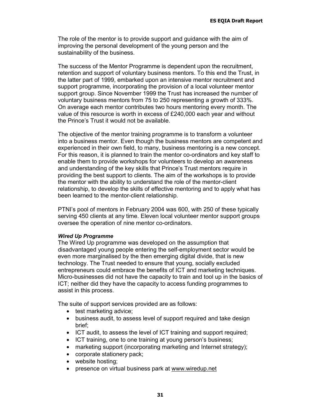The role of the mentor is to provide support and guidance with the aim of improving the personal development of the young person and the sustainability of the business.

The success of the Mentor Programme is dependent upon the recruitment, retention and support of voluntary business mentors. To this end the Trust, in the latter part of 1999, embarked upon an intensive mentor recruitment and support programme, incorporating the provision of a local volunteer mentor support group. Since November 1999 the Trust has increased the number of voluntary business mentors from 75 to 250 representing a growth of 333%. On average each mentor contributes two hours mentoring every month. The value of this resource is worth in excess of £240,000 each year and without the Prince's Trust it would not be available.

The objective of the mentor training programme is to transform a volunteer into a business mentor. Even though the business mentors are competent and experienced in their own field, to many, business mentoring is a new concept. For this reason, it is planned to train the mentor co-ordinators and key staff to enable them to provide workshops for volunteers to develop an awareness and understanding of the key skills that Prince's Trust mentors require in providing the best support to clients. The aim of the workshops is to provide the mentor with the ability to understand the role of the mentor-client relationship, to develop the skills of effective mentoring and to apply what has been learned to the mentor-client relationship.

PTNI's pool of mentors in February 2004 was 600, with 250 of these typically serving 450 clients at any time. Eleven local volunteer mentor support groups oversee the operation of nine mentor co-ordinators.

#### *Wired Up Programme*

The Wired Up programme was developed on the assumption that disadvantaged young people entering the self-employment sector would be even more marginalised by the then emerging digital divide, that is new technology. The Trust needed to ensure that young, socially excluded entrepreneurs could embrace the benefits of ICT and marketing techniques. Micro-businesses did not have the capacity to train and tool up in the basics of ICT; neither did they have the capacity to access funding programmes to assist in this process.

The suite of support services provided are as follows:

- test marketing advice;
- business audit, to assess level of support required and take design brief;
- ICT audit, to assess the level of ICT training and support required;
- ICT training, one to one training at young person's business;
- marketing support (incorporating marketing and Internet strategy);
- corporate stationery pack;
- website hosting;
- presence on virtual business park at www.wiredup.net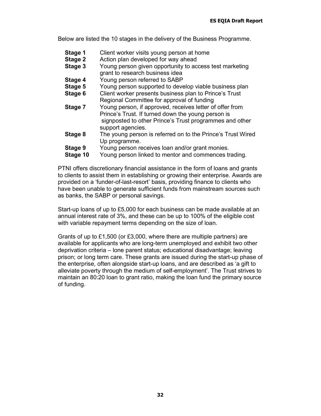Below are listed the 10 stages in the delivery of the Business Programme.

- **Stage 1** Client worker visits young person at home
- **Stage 2** Action plan developed for way ahead
- **Stage 3** Young person given opportunity to access test marketing grant to research business idea
- **Stage 4** Young person referred to SABP
- **Stage 5** Young person supported to develop viable business plan
- **Stage 6** Client worker presents business plan to Prince's Trust Regional Committee for approval of funding
- **Stage 7** Young person, if approved, receives letter of offer from Prince's Trust. If turned down the young person is signposted to other Prince's Trust programmes and other support agencies.
- **Stage 8** The young person is referred on to the Prince's Trust Wired Up programme.
- **Stage 9** Young person receives loan and/or grant monies.
- **Stage 10** Young person linked to mentor and commences trading.

PTNI offers discretionary financial assistance in the form of loans and grants to clients to assist them in establishing or growing their enterprise. Awards are provided on a 'funder-of-last-resort' basis, providing finance to clients who have been unable to generate sufficient funds from mainstream sources such as banks, the SABP or personal savings.

Start-up loans of up to £5,000 for each business can be made available at an annual interest rate of 3%, and these can be up to 100% of the eligible cost with variable repayment terms depending on the size of loan.

Grants of up to £1,500 (or £3,000, where there are multiple partners) are available for applicants who are long-term unemployed and exhibit two other deprivation criteria – lone parent status; educational disadvantage; leaving prison; or long term care. These grants are issued during the start-up phase of the enterprise, often alongside start-up loans, and are described as 'a gift to alleviate poverty through the medium of self-employment'. The Trust strives to maintain an 80:20 loan to grant ratio, making the loan fund the primary source of funding.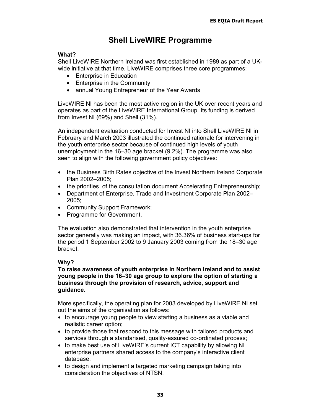# **Shell LiveWIRE Programme**

### **What?**

Shell LiveWIRE Northern Ireland was first established in 1989 as part of a UKwide initiative at that time. LiveWIRE comprises three core programmes:

- Enterprise in Education
- Enterprise in the Community
- annual Young Entrepreneur of the Year Awards

LiveWIRE NI has been the most active region in the UK over recent years and operates as part of the LiveWIRE International Group. Its funding is derived from Invest NI (69%) and Shell (31%).

An independent evaluation conducted for Invest NI into Shell LiveWIRE NI in February and March 2003 illustrated the continued rationale for intervening in the youth enterprise sector because of continued high levels of youth unemployment in the 16–30 age bracket (9.2%). The programme was also seen to align with the following government policy objectives:

- the Business Birth Rates objective of the Invest Northern Ireland Corporate Plan 2002–2005;
- the priorities of the consultation document Accelerating Entrepreneurship;
- Department of Enterprise, Trade and Investment Corporate Plan 2002– 2005;
- Community Support Framework;
- Programme for Government.

The evaluation also demonstrated that intervention in the youth enterprise sector generally was making an impact, with 36.36% of business start-ups for the period 1 September 2002 to 9 January 2003 coming from the 18–30 age bracket.

# **Why?**

### **To raise awareness of youth enterprise in Northern Ireland and to assist young people in the 16–30 age group to explore the option of starting a business through the provision of research, advice, support and guidance.**

More specifically, the operating plan for 2003 developed by LiveWIRE NI set out the aims of the organisation as follows:

- to encourage young people to view starting a business as a viable and realistic career option;
- to provide those that respond to this message with tailored products and services through a standarised, quality-assured co-ordinated process;
- to make best use of LiveWIRE's current ICT capability by allowing NI enterprise partners shared access to the company's interactive client database;
- to design and implement a targeted marketing campaign taking into consideration the objectives of NTSN.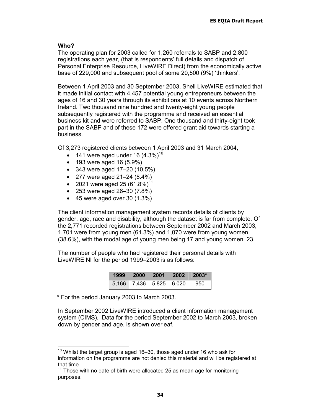### **Who?**

The operating plan for 2003 called for 1,260 referrals to SABP and 2,800 registrations each year, (that is respondents' full details and dispatch of Personal Enterprise Resource, LiveWIRE Direct) from the economically active base of 229,000 and subsequent pool of some 20,500 (9%) 'thinkers'.

Between 1 April 2003 and 30 September 2003, Shell LiveWIRE estimated that it made initial contact with 4,457 potential young entrepreneurs between the ages of 16 and 30 years through its exhibitions at 10 events across Northern Ireland. Two thousand nine hundred and twenty-eight young people subsequently registered with the programme and received an essential business kit and were referred to SABP. One thousand and thirty-eight took part in the SABP and of these 172 were offered grant aid towards starting a business.

Of 3,273 registered clients between 1 April 2003 and 31 March 2004,

- 141 were aged under 16  $(4.3\%)^{10}$
- 193 were aged 16 (5.9%)
- 343 were aged 17–20 (10.5%)
- 277 were aged 21–24 (8.4%)
- 2021 were aged 25  $(61.8\%)$ <sup>11</sup>
- 253 were aged 26–30 (7.8%)
- $\bullet$  45 were aged over 30 (1.3%)

The client information management system records details of clients by gender, age, race and disability, although the dataset is far from complete. Of the 2,771 recorded registrations between September 2002 and March 2003, 1,701 were from young men (61.3%) and 1,070 were from young women (38.6%), with the modal age of young men being 17 and young women, 23.

The number of people who had registered their personal details with LiveWIRE NI for the period 1999–2003 is as follows:

| 1999  | 2000 | $\begin{array}{c} \hline \end{array}$ | $\vert$ 2002 | $-2003$ |
|-------|------|---------------------------------------|--------------|---------|
| 5.166 |      | 7,436 5,825 6,020                     |              | 950     |

\* For the period January 2003 to March 2003.

In September 2002 LiveWIRE introduced a client information management system (CIMS). Data for the period September 2002 to March 2003, broken down by gender and age, is shown overleaf.

 $10$  Whilst the target group is aged 16–30, those aged under 16 who ask for information on the programme are not denied this material and will be registered at that time.

 $11$  Those with no date of birth were allocated 25 as mean age for monitoring purposes.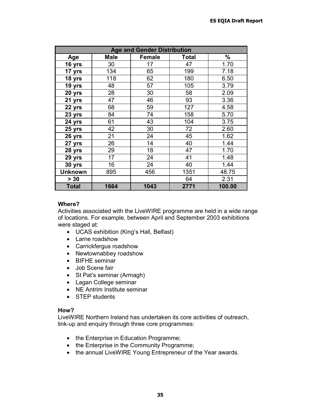| <b>Age and Gender Distribution</b> |             |        |       |        |
|------------------------------------|-------------|--------|-------|--------|
| Age                                | <b>Male</b> | Female | Total | $\%$   |
| 16 yrs                             | 30          | 17     | 47    | 1.70   |
| 17 yrs                             | 134         | 65     | 199   | 7.18   |
| 18 yrs                             | 118         | 62     | 180   | 6.50   |
| 19 yrs                             | 48          | 57     | 105   | 3.79   |
| 20 yrs                             | 28          | 30     | 58    | 2.09   |
| 21 yrs                             | 47          | 46     | 93    | 3.36   |
| 22 yrs                             | 68          | 59     | 127   | 4.58   |
| 23 yrs                             | 84          | 74     | 158   | 5.70   |
| 24 yrs                             | 61          | 43     | 104   | 3.75   |
| 25 yrs                             | 42          | 30     | 72    | 2.60   |
| 26 yrs                             | 21          | 24     | 45    | 1.62   |
| 27 yrs                             | 26          | 14     | 40    | 1.44   |
| 28 yrs                             | 29          | 18     | 47    | 1.70   |
| 29 yrs                             | 17          | 24     | 41    | 1.48   |
| 30 yrs                             | 16          | 24     | 40    | 1.44   |
| <b>Unknown</b>                     | 895         | 456    | 1351  | 48.75  |
| $> 30$                             |             |        | 64    | 2.31   |
| <b>Total</b>                       | 1664        | 1043   | 2771  | 100.00 |

### **Where?**

Activities associated with the LiveWIRE programme are held in a wide range of locations. For example, between April and September 2003 exhibitions were staged at:

- UCAS exhibition (King's Hall, Belfast)
- Larne roadshow
- Carrickfergus roadshow
- Newtownabbey roadshow
- BIFHE seminar
- Job Scene fair
- St Pat's seminar (Armagh)
- Lagan College seminar
- NE Antrim Institute seminar
- STEP students

### **How?**

LiveWIRE Northern Ireland has undertaken its core activities of outreach, link-up and enquiry through three core programmes:

- the Enterprise in Education Programme;
- the Enterprise in the Community Programme;
- the annual LiveWIRE Young Entrepreneur of the Year awards.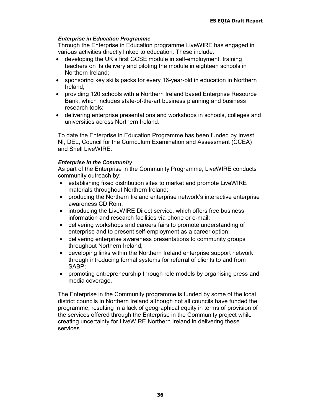### *Enterprise in Education Programme*

Through the Enterprise in Education programme LiveWIRE has engaged in various activities directly linked to education. These include:

- developing the UK's first GCSE module in self-employment, training teachers on its delivery and piloting the module in eighteen schools in Northern Ireland;
- sponsoring key skills packs for every 16-year-old in education in Northern Ireland;
- providing 120 schools with a Northern Ireland based Enterprise Resource Bank, which includes state-of-the-art business planning and business research tools;
- delivering enterprise presentations and workshops in schools, colleges and universities across Northern Ireland.

To date the Enterprise in Education Programme has been funded by Invest NI, DEL, Council for the Curriculum Examination and Assessment (CCEA) and Shell LiveWIRE.

### *Enterprise in the Community*

As part of the Enterprise in the Community Programme, LiveWIRE conducts community outreach by:

- establishing fixed distribution sites to market and promote LiveWIRE materials throughout Northern Ireland;
- producing the Northern Ireland enterprise network's interactive enterprise awareness CD Rom;
- introducing the LiveWIRE Direct service, which offers free business information and research facilities via phone or e-mail;
- delivering workshops and careers fairs to promote understanding of enterprise and to present self-employment as a career option;
- delivering enterprise awareness presentations to community groups throughout Northern Ireland;
- developing links within the Northern Ireland enterprise support network through introducing formal systems for referral of clients to and from SABP;
- promoting entrepreneurship through role models by organising press and media coverage.

The Enterprise in the Community programme is funded by some of the local district councils in Northern Ireland although not all councils have funded the programme, resulting in a lack of geographical equity in terms of provision of the services offered through the Enterprise in the Community project while creating uncertainty for LiveWIRE Northern Ireland in delivering these services.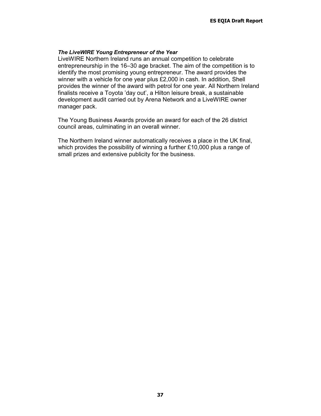#### *The LiveWIRE Young Entrepreneur of the Year*

LiveWIRE Northern Ireland runs an annual competition to celebrate entrepreneurship in the 16–30 age bracket. The aim of the competition is to identify the most promising young entrepreneur. The award provides the winner with a vehicle for one year plus £2,000 in cash. In addition, Shell provides the winner of the award with petrol for one year. All Northern Ireland finalists receive a Toyota 'day out', a Hilton leisure break, a sustainable development audit carried out by Arena Network and a LiveWIRE owner manager pack.

The Young Business Awards provide an award for each of the 26 district council areas, culminating in an overall winner.

The Northern Ireland winner automatically receives a place in the UK final, which provides the possibility of winning a further £10,000 plus a range of small prizes and extensive publicity for the business.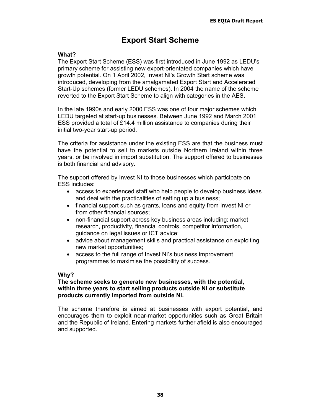# **Export Start Scheme**

### **What?**

The Export Start Scheme (ESS) was first introduced in June 1992 as LEDU's primary scheme for assisting new export-orientated companies which have growth potential. On 1 April 2002, Invest NI's Growth Start scheme was introduced, developing from the amalgamated Export Start and Accelerated Start-Up schemes (former LEDU schemes). In 2004 the name of the scheme reverted to the Export Start Scheme to align with categories in the AES.

In the late 1990s and early 2000 ESS was one of four major schemes which LEDU targeted at start-up businesses. Between June 1992 and March 2001 ESS provided a total of £14.4 million assistance to companies during their initial two-year start-up period.

The criteria for assistance under the existing ESS are that the business must have the potential to sell to markets outside Northern Ireland within three years, or be involved in import substitution. The support offered to businesses is both financial and advisory.

The support offered by Invest NI to those businesses which participate on ESS includes:

- access to experienced staff who help people to develop business ideas and deal with the practicalities of setting up a business;
- financial support such as grants, loans and equity from Invest NI or from other financial sources;
- non-financial support across key business areas including: market research, productivity, financial controls, competitor information, guidance on legal issues or ICT advice;
- advice about management skills and practical assistance on exploiting new market opportunities;
- access to the full range of Invest NI's business improvement programmes to maximise the possibility of success.

### **Why?**

### **The scheme seeks to generate new businesses, with the potential, within three years to start selling products outside NI or substitute products currently imported from outside NI.**

The scheme therefore is aimed at businesses with export potential, and encourages them to exploit near-market opportunities such as Great Britain and the Republic of Ireland. Entering markets further afield is also encouraged and supported.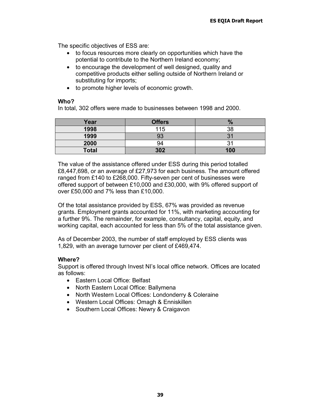The specific objectives of ESS are:

- to focus resources more clearly on opportunities which have the potential to contribute to the Northern Ireland economy;
- to encourage the development of well designed, quality and competitive products either selling outside of Northern Ireland or substituting for imports;
- to promote higher levels of economic growth.

### **Who?**

In total, 302 offers were made to businesses between 1998 and 2000.

| Year         | <b>Offers</b> |     |
|--------------|---------------|-----|
| 1998         | 115           | 38  |
| 1999         | ∩∩<br>ບປ      |     |
| 2000         | 94            |     |
| <b>Total</b> | 302           | 100 |

The value of the assistance offered under ESS during this period totalled £8,447,698, or an average of £27,973 for each business. The amount offered ranged from £140 to £268,000. Fifty-seven per cent of businesses were offered support of between £10,000 and £30,000, with 9% offered support of over £50,000 and 7% less than £10,000.

Of the total assistance provided by ESS, 67% was provided as revenue grants. Employment grants accounted for 11%, with marketing accounting for a further 9%. The remainder, for example, consultancy, capital, equity, and working capital, each accounted for less than 5% of the total assistance given.

As of December 2003, the number of staff employed by ESS clients was 1,829, with an average turnover per client of £469,474.

### **Where?**

Support is offered through Invest NI's local office network. Offices are located as follows:

- Eastern Local Office: Belfast
- North Eastern Local Office: Ballymena
- North Western Local Offices: Londonderry & Coleraine
- Western Local Offices: Omagh & Enniskillen
- Southern Local Offices: Newry & Craigavon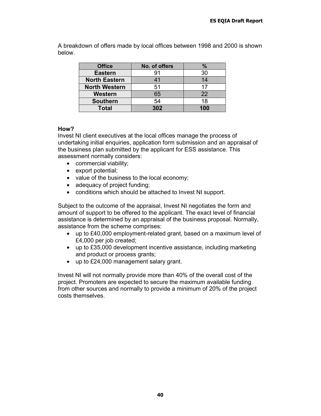A breakdown of offers made by local offices between 1998 and 2000 is shown below.

| <b>Office</b>        | No. of offers | $\%$ |
|----------------------|---------------|------|
| <b>Eastern</b>       | 91            | 30   |
| <b>North Eastern</b> | 41            | 14   |
| <b>North Western</b> | 51            | 17   |
| Western              | 65            | 22   |
| <b>Southern</b>      | 54            | 18   |
| <b>Total</b>         | 302           | 100  |

### **How?**

Invest NI client executives at the local offices manage the process of undertaking initial enquiries, application form submission and an appraisal of the business plan submitted by the applicant for ESS assistance. This assessment normally considers:

- commercial viability;
- export potential;
- value of the business to the local economy;
- adequacy of project funding;
- conditions which should be attached to Invest NI support.

Subject to the outcome of the appraisal, Invest NI negotiates the form and amount of support to be offered to the applicant. The exact level of financial assistance is determined by an appraisal of the business proposal. Normally, assistance from the scheme comprises:

- up to £40,000 employment-related grant, based on a maximum level of £4,000 per job created;
- up to £35,000 development incentive assistance, including marketing and product or process grants;
- up to £24,000 management salary grant.

Invest NI will not normally provide more than 40% of the overall cost of the project. Promoters are expected to secure the maximum available funding from other sources and normally to provide a minimum of 20% of the project costs themselves.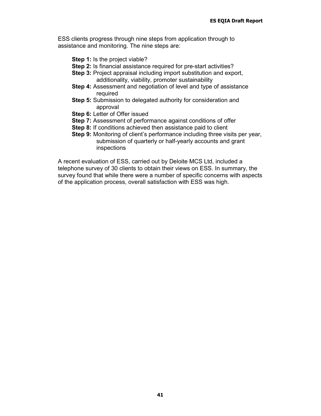ESS clients progress through nine steps from application through to assistance and monitoring. The nine steps are:

- **Step 1:** Is the project viable?
- **Step 2:** Is financial assistance required for pre-start activities?
- **Step 3: Project appraisal including import substitution and export,** additionality, viability, promoter sustainability
- **Step 4:** Assessment and negotiation of level and type of assistance required
- **Step 5:** Submission to delegated authority for consideration and approval
- **Step 6:** Letter of Offer issued
- **Step 7:** Assessment of performance against conditions of offer
- **Step 8:** If conditions achieved then assistance paid to client
- **Step 9:** Monitoring of client's performance including three visits per year, submission of quarterly or half-yearly accounts and grant inspections

A recent evaluation of ESS, carried out by Deloite MCS Ltd, included a telephone survey of 30 clients to obtain their views on ESS. In summary, the survey found that while there were a number of specific concerns with aspects of the application process, overall satisfaction with ESS was high.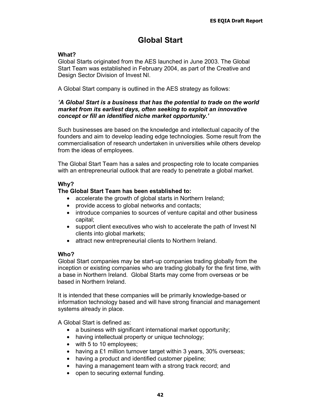# **Global Start**

### **What?**

Global Starts originated from the AES launched in June 2003. The Global Start Team was established in February 2004, as part of the Creative and Design Sector Division of Invest NI.

A Global Start company is outlined in the AES strategy as follows:

### *'A Global Start is a business that has the potential to trade on the world market from its earliest days, often seeking to exploit an innovative concept or fill an identified niche market opportunity.'*

Such businesses are based on the knowledge and intellectual capacity of the founders and aim to develop leading edge technologies. Some result from the commercialisation of research undertaken in universities while others develop from the ideas of employees.

The Global Start Team has a sales and prospecting role to locate companies with an entrepreneurial outlook that are ready to penetrate a global market.

### **Why?**

### **The Global Start Team has been established to:**

- accelerate the growth of global starts in Northern Ireland;
- provide access to global networks and contacts;
- introduce companies to sources of venture capital and other business capital;
- support client executives who wish to accelerate the path of Invest NI clients into global markets;
- attract new entrepreneurial clients to Northern Ireland.

### **Who?**

Global Start companies may be start-up companies trading globally from the inception or existing companies who are trading globally for the first time, with a base in Northern Ireland. Global Starts may come from overseas or be based in Northern Ireland.

It is intended that these companies will be primarily knowledge-based or information technology based and will have strong financial and management systems already in place.

A Global Start is defined as:

- a business with significant international market opportunity;
- having intellectual property or unique technology;
- with 5 to 10 employees;
- having a £1 million turnover target within 3 years, 30% overseas;
- having a product and identified customer pipeline;
- having a management team with a strong track record; and
- open to securing external funding.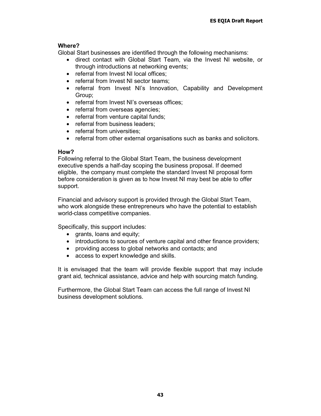### **Where?**

Global Start businesses are identified through the following mechanisms:

- direct contact with Global Start Team, via the Invest NI website, or through introductions at networking events;
- referral from Invest NI local offices;
- referral from Invest NI sector teams;
- referral from Invest NI's Innovation, Capability and Development Group;
- referral from Invest NI's overseas offices:
- referral from overseas agencies;
- referral from venture capital funds;
- referral from business leaders;
- referral from universities:
- referral from other external organisations such as banks and solicitors.

### **How?**

Following referral to the Global Start Team, the business development executive spends a half-day scoping the business proposal. If deemed eligible, the company must complete the standard Invest NI proposal form before consideration is given as to how Invest NI may best be able to offer support.

Financial and advisory support is provided through the Global Start Team, who work alongside these entrepreneurs who have the potential to establish world-class competitive companies.

Specifically, this support includes:

- grants, loans and equity;
- introductions to sources of venture capital and other finance providers;
- providing access to global networks and contacts; and
- access to expert knowledge and skills.

It is envisaged that the team will provide flexible support that may include grant aid, technical assistance, advice and help with sourcing match funding.

Furthermore, the Global Start Team can access the full range of Invest NI business development solutions.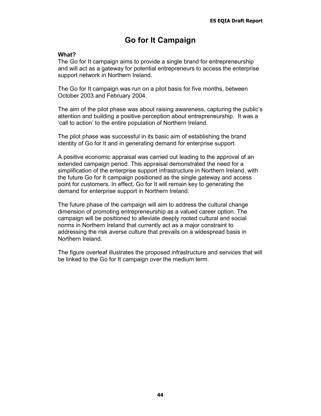# **Go for It Campaign**

### **What?**

The Go for It campaign aims to provide a single brand for entrepreneurship and will act as a gateway for potential entrepreneurs to access the enterprise support network in Northern Ireland.

The Go for It campaign was run on a pilot basis for five months, between October 2003 and February 2004.

The aim of the pilot phase was about raising awareness, capturing the public's attention and building a positive perception about entrepreneurship. It was a 'call to action' to the entire population of Northern Ireland.

The pilot phase was successful in its basic aim of establishing the brand identity of Go for It and in generating demand for enterprise support.

A positive economic appraisal was carried out leading to the approval of an extended campaign period. This appraisal demonstrated the need for a simplification of the enterprise support infrastructure in Northern Ireland, with the future Go for It campaign positioned as the single gateway and access point for customers. In effect, Go for It will remain key to generating the demand for enterprise support in Northern Ireland.

The future phase of the campaign will aim to address the cultural change dimension of promoting entrepreneurship as a valued career option. The campaign will be positioned to alleviate deeply rooted cultural and social norms in Northern Ireland that currently act as a major constraint to addressing the risk averse culture that prevails on a widespread basis in Northern Ireland.

The figure overleaf illustrates the proposed infrastructure and services that will be linked to the Go for It campaign over the medium term.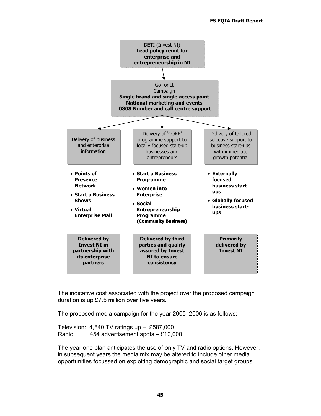

The indicative cost associated with the project over the proposed campaign duration is up £7.5 million over five years.

The proposed media campaign for the year 2005–2006 is as follows:

Television: 4,840 TV ratings up – £587,000 Radio: 454 advertisement spots – £10,000

The year one plan anticipates the use of only TV and radio options. However, in subsequent years the media mix may be altered to include other media opportunities focussed on exploiting demographic and social target groups.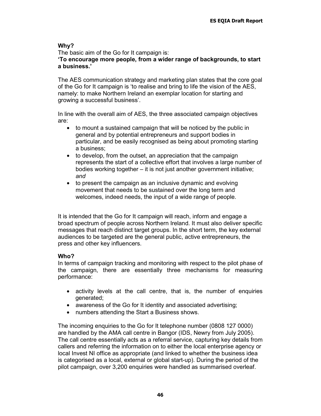### **Why?**

The basic aim of the Go for It campaign is:

**'To encourage more people, from a wider range of backgrounds, to start a business.'** 

The AES communication strategy and marketing plan states that the core goal of the Go for It campaign is 'to realise and bring to life the vision of the AES, namely: to make Northern Ireland an exemplar location for starting and growing a successful business'.

In line with the overall aim of AES, the three associated campaign objectives are:

- to mount a sustained campaign that will be noticed by the public in general and by potential entrepreneurs and support bodies in particular, and be easily recognised as being about promoting starting a business;
- to develop, from the outset, an appreciation that the campaign represents the start of a collective effort that involves a large number of bodies working together – it is not just another government initiative; *and*
- to present the campaign as an inclusive dynamic and evolving movement that needs to be sustained over the long term and welcomes, indeed needs, the input of a wide range of people.

It is intended that the Go for It campaign will reach, inform and engage a broad spectrum of people across Northern Ireland. It must also deliver specific messages that reach distinct target groups. In the short term, the key external audiences to be targeted are the general public, active entrepreneurs, the press and other key influencers.

### **Who?**

In terms of campaign tracking and monitoring with respect to the pilot phase of the campaign, there are essentially three mechanisms for measuring performance:

- activity levels at the call centre, that is, the number of enquiries generated;
- awareness of the Go for It identity and associated advertising;
- numbers attending the Start a Business shows.

The incoming enquiries to the Go for It telephone number (0808 127 0000) are handled by the AMA call centre in Bangor (IDS, Newry from July 2005). The call centre essentially acts as a referral service, capturing key details from callers and referring the information on to either the local enterprise agency or local Invest NI office as appropriate (and linked to whether the business idea is categorised as a local, external or global start-up). During the period of the pilot campaign, over 3,200 enquiries were handled as summarised overleaf.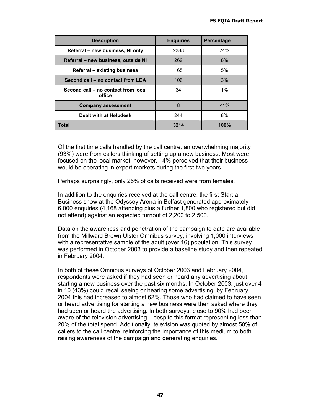| <b>Description</b>                            | <b>Enquiries</b> | <b>Percentage</b> |
|-----------------------------------------------|------------------|-------------------|
| Referral – new business, NI only              | 2388             | 74%               |
| Referral – new business, outside NI           | 269              | 8%                |
| Referral – existing business                  | 165              | 5%                |
| Second call – no contact from LEA             | 106              | 3%                |
| Second call – no contact from local<br>office | 34               | $1\%$             |
| <b>Company assessment</b>                     | 8                | $< 1\%$           |
| Dealt with at Helpdesk                        | 244              | 8%                |
| Total                                         | 3214             | 100%              |

Of the first time calls handled by the call centre, an overwhelming majority (93%) were from callers thinking of setting up a new business. Most were focused on the local market, however, 14% perceived that their business would be operating in export markets during the first two years.

Perhaps surprisingly, only 25% of calls received were from females.

In addition to the enquiries received at the call centre, the first Start a Business show at the Odyssey Arena in Belfast generated approximately 6,000 enquiries (4,168 attending plus a further 1,800 who registered but did not attend) against an expected turnout of 2,200 to 2,500.

Data on the awareness and penetration of the campaign to date are available from the Millward Brown Ulster Omnibus survey, involving 1,000 interviews with a representative sample of the adult (over 16) population. This survey was performed in October 2003 to provide a baseline study and then repeated in February 2004.

In both of these Omnibus surveys of October 2003 and February 2004, respondents were asked if they had seen or heard any advertising about starting a new business over the past six months. In October 2003, just over 4 in 10 (43%) could recall seeing or hearing some advertising; by February 2004 this had increased to almost 62%. Those who had claimed to have seen or heard advertising for starting a new business were then asked where they had seen or heard the advertising. In both surveys, close to 90% had been aware of the television advertising – despite this format representing less than 20% of the total spend. Additionally, television was quoted by almost 50% of callers to the call centre, reinforcing the importance of this medium to both raising awareness of the campaign and generating enquiries.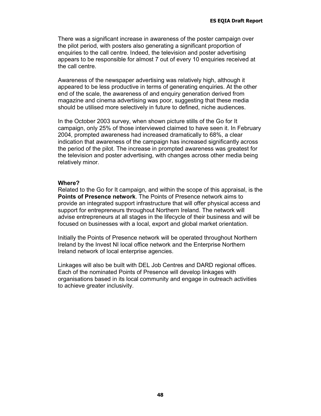There was a significant increase in awareness of the poster campaign over the pilot period, with posters also generating a significant proportion of enquiries to the call centre. Indeed, the television and poster advertising appears to be responsible for almost 7 out of every 10 enquiries received at the call centre.

Awareness of the newspaper advertising was relatively high, although it appeared to be less productive in terms of generating enquiries. At the other end of the scale, the awareness of and enquiry generation derived from magazine and cinema advertising was poor, suggesting that these media should be utilised more selectively in future to defined, niche audiences.

In the October 2003 survey, when shown picture stills of the Go for It campaign, only 25% of those interviewed claimed to have seen it. In February 2004, prompted awareness had increased dramatically to 68%, a clear indication that awareness of the campaign has increased significantly across the period of the pilot. The increase in prompted awareness was greatest for the television and poster advertising, with changes across other media being relatively minor.

#### **Where?**

Related to the Go for It campaign, and within the scope of this appraisal, is the **Points of Presence network**. The Points of Presence network aims to provide an integrated support infrastructure that will offer physical access and support for entrepreneurs throughout Northern Ireland. The network will advise entrepreneurs at all stages in the lifecycle of their business and will be focused on businesses with a local, export and global market orientation.

Initially the Points of Presence network will be operated throughout Northern Ireland by the Invest NI local office network and the Enterprise Northern Ireland network of local enterprise agencies.

Linkages will also be built with DEL Job Centres and DARD regional offices. Each of the nominated Points of Presence will develop linkages with organisations based in its local community and engage in outreach activities to achieve greater inclusivity.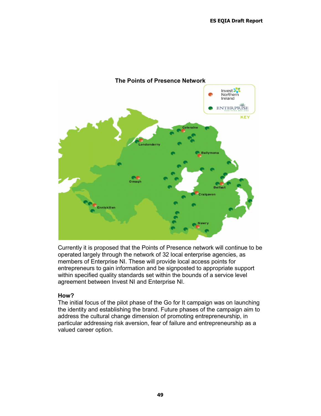

Currently it is proposed that the Points of Presence network will continue to be operated largely through the network of 32 local enterprise agencies, as members of Enterprise NI. These will provide local access points for entrepreneurs to gain information and be signposted to appropriate support within specified quality standards set within the bounds of a service level agreement between Invest NI and Enterprise NI.

### **How?**

The initial focus of the pilot phase of the Go for It campaign was on launching the identity and establishing the brand. Future phases of the campaign aim to address the cultural change dimension of promoting entrepreneurship, in particular addressing risk aversion, fear of failure and entrepreneurship as a valued career option.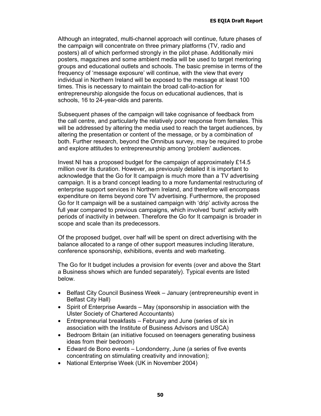Although an integrated, multi-channel approach will continue, future phases of the campaign will concentrate on three primary platforms (TV, radio and posters) all of which performed strongly in the pilot phase. Additionally mini posters, magazines and some ambient media will be used to target mentoring groups and educational outlets and schools. The basic premise in terms of the frequency of 'message exposure' will continue, with the view that every individual in Northern Ireland will be exposed to the message at least 100 times. This is necessary to maintain the broad call-to-action for entrepreneurship alongside the focus on educational audiences, that is schools, 16 to 24-year-olds and parents.

Subsequent phases of the campaign will take cognisance of feedback from the call centre, and particularly the relatively poor response from females. This will be addressed by altering the media used to reach the target audiences, by altering the presentation or content of the message, or by a combination of both. Further research, beyond the Omnibus survey, may be required to probe and explore attitudes to entrepreneurship among 'problem' audiences.

Invest NI has a proposed budget for the campaign of approximately £14.5 million over its duration. However, as previously detailed it is important to acknowledge that the Go for It campaign is much more than a TV advertising campaign. It is a brand concept leading to a more fundamental restructuring of enterprise support services in Northern Ireland, and therefore will encompass expenditure on items beyond core TV advertising. Furthermore, the proposed Go for It campaign will be a sustained campaign with 'drip' activity across the full year compared to previous campaigns, which involved 'burst' activity with periods of inactivity in between. Therefore the Go for It campaign is broader in scope and scale than its predecessors.

Of the proposed budget, over half will be spent on direct advertising with the balance allocated to a range of other support measures including literature, conference sponsorship, exhibitions, events and web marketing.

The Go for It budget includes a provision for events (over and above the Start a Business shows which are funded separately). Typical events are listed below.

- Belfast City Council Business Week January (entrepreneurship event in Belfast City Hall)
- Spirit of Enterprise Awards May (sponsorship in association with the Ulster Society of Chartered Accountants)
- Entrepreneurial breakfasts February and June (series of six in association with the Institute of Business Advisors and USCA)
- Bedroom Britain (an initiative focused on teenagers generating business ideas from their bedroom)
- Edward de Bono events Londonderry, June (a series of five events concentrating on stimulating creativity and innovation);
- National Enterprise Week (UK in November 2004)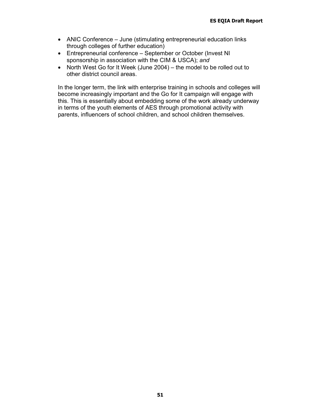- ANIC Conference June (stimulating entrepreneurial education links through colleges of further education)
- Entrepreneurial conference September or October (Invest NI sponsorship in association with the CIM & USCA); *and*
- North West Go for It Week (June 2004) the model to be rolled out to other district council areas.

In the longer term, the link with enterprise training in schools and colleges will become increasingly important and the Go for It campaign will engage with this. This is essentially about embedding some of the work already underway in terms of the youth elements of AES through promotional activity with parents, influencers of school children, and school children themselves.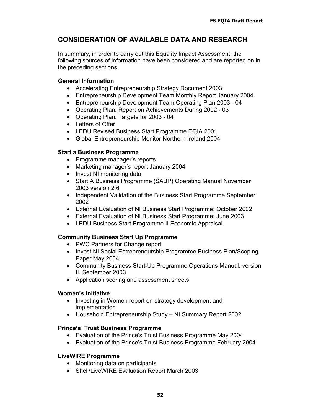# **CONSIDERATION OF AVAILABLE DATA AND RESEARCH**

In summary, in order to carry out this Equality Impact Assessment, the following sources of information have been considered and are reported on in the preceding sections.

### **General Information**

- Accelerating Entrepreneurship Strategy Document 2003
- Entrepreneurship Development Team Monthly Report January 2004
- Entrepreneurship Development Team Operating Plan 2003 04
- Operating Plan: Report on Achievements During 2002 03
- Operating Plan: Targets for 2003 04
- Letters of Offer
- LEDU Revised Business Start Programme EQIA 2001
- Global Entrepreneurship Monitor Northern Ireland 2004

### **Start a Business Programme**

- Programme manager's reports
- Marketing manager's report January 2004
- Invest NI monitoring data
- Start A Business Programme (SABP) Operating Manual November 2003 version 2.6
- Independent Validation of the Business Start Programme September 2002
- External Evaluation of NI Business Start Programme: October 2002
- External Evaluation of NI Business Start Programme: June 2003
- LEDU Business Start Programme II Economic Appraisal

# **Community Business Start Up Programme**

- PWC Partners for Change report
- Invest NI Social Entrepreneurship Programme Business Plan/Scoping Paper May 2004
- Community Business Start-Up Programme Operations Manual, version II, September 2003
- Application scoring and assessment sheets

### **Women's Initiative**

- Investing in Women report on strategy development and implementation
- Household Entrepreneurship Study NI Summary Report 2002

### **Prince's Trust Business Programme**

- Evaluation of the Prince's Trust Business Programme May 2004
- Evaluation of the Prince's Trust Business Programme February 2004

### **LiveWIRE Programme**

- Monitoring data on participants
- Shell/LiveWIRE Evaluation Report March 2003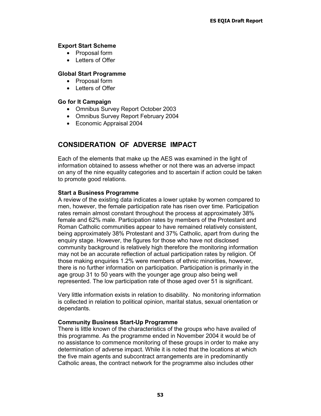### **Export Start Scheme**

- Proposal form
- Letters of Offer

### **Global Start Programme**

- Proposal form
- Letters of Offer

### **Go for It Campaign**

- Omnibus Survey Report October 2003
- Omnibus Survey Report February 2004
- Economic Appraisal 2004

# **CONSIDERATION OF ADVERSE IMPACT**

Each of the elements that make up the AES was examined in the light of information obtained to assess whether or not there was an adverse impact on any of the nine equality categories and to ascertain if action could be taken to promote good relations.

### **Start a Business Programme**

A review of the existing data indicates a lower uptake by women compared to men, however, the female participation rate has risen over time. Participation rates remain almost constant throughout the process at approximately 38% female and 62% male. Participation rates by members of the Protestant and Roman Catholic communities appear to have remained relatively consistent, being approximately 38% Protestant and 37% Catholic, apart from during the enquiry stage. However, the figures for those who have not disclosed community background is relatively high therefore the monitoring information may not be an accurate reflection of actual participation rates by religion. Of those making enquiries 1.2% were members of ethnic minorities, however, there is no further information on participation. Participation is primarily in the age group 31 to 50 years with the younger age group also being well represented. The low participation rate of those aged over 51 is significant.

Very little information exists in relation to disability. No monitoring information is collected in relation to political opinion, marital status, sexual orientation or dependants.

### **Community Business Start-Up Programme**

There is little known of the characteristics of the groups who have availed of this programme. As the programme ended in November 2004 it would be of no assistance to commence monitoring of these groups in order to make any determination of adverse impact. While it is noted that the locations at which the five main agents and subcontract arrangements are in predominantly Catholic areas, the contract network for the programme also includes other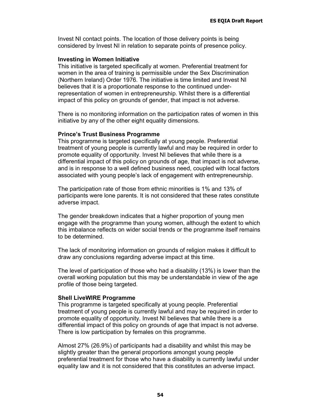Invest NI contact points. The location of those delivery points is being considered by Invest NI in relation to separate points of presence policy.

#### **Investing in Women Initiative**

This initiative is targeted specifically at women. Preferential treatment for women in the area of training is permissible under the Sex Discrimination (Northern Ireland) Order 1976. The initiative is time limited and Invest NI believes that it is a proportionate response to the continued underrepresentation of women in entrepreneurship. Whilst there is a differential impact of this policy on grounds of gender, that impact is not adverse.

There is no monitoring information on the participation rates of women in this initiative by any of the other eight equality dimensions.

#### **Prince's Trust Business Programme**

This programme is targeted specifically at young people. Preferential treatment of young people is currently lawful and may be required in order to promote equality of opportunity. Invest NI believes that while there is a differential impact of this policy on grounds of age, that impact is not adverse, and is in response to a well defined business need, coupled with local factors associated with young people's lack of engagement with entrepreneurship.

The participation rate of those from ethnic minorities is 1% and 13% of participants were lone parents. It is not considered that these rates constitute adverse impact.

The gender breakdown indicates that a higher proportion of young men engage with the programme than young women, although the extent to which this imbalance reflects on wider social trends or the programme itself remains to be determined.

The lack of monitoring information on grounds of religion makes it difficult to draw any conclusions regarding adverse impact at this time.

The level of participation of those who had a disability (13%) is lower than the overall working population but this may be understandable in view of the age profile of those being targeted.

#### **Shell LiveWIRE Programme**

This programme is targeted specifically at young people. Preferential treatment of young people is currently lawful and may be required in order to promote equality of opportunity. Invest NI believes that while there is a differential impact of this policy on grounds of age that impact is not adverse. There is low participation by females on this programme.

Almost 27% (26.9%) of participants had a disability and whilst this may be slightly greater than the general proportions amongst young people preferential treatment for those who have a disability is currently lawful under equality law and it is not considered that this constitutes an adverse impact.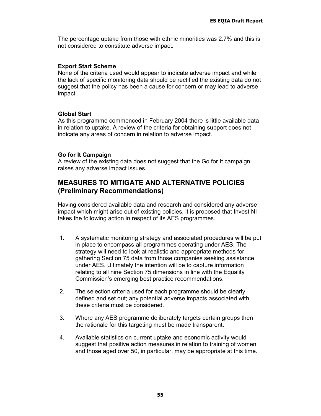The percentage uptake from those with ethnic minorities was 2.7% and this is not considered to constitute adverse impact.

### **Export Start Scheme**

None of the criteria used would appear to indicate adverse impact and while the lack of specific monitoring data should be rectified the existing data do not suggest that the policy has been a cause for concern or may lead to adverse impact.

### **Global Start**

As this programme commenced in February 2004 there is little available data in relation to uptake. A review of the criteria for obtaining support does not indicate any areas of concern in relation to adverse impact.

### **Go for It Campaign**

A review of the existing data does not suggest that the Go for It campaign raises any adverse impact issues.

# **MEASURES TO MITIGATE AND ALTERNATIVE POLICIES (Preliminary Recommendations)**

Having considered available data and research and considered any adverse impact which might arise out of existing policies, it is proposed that Invest NI takes the following action in respect of its AES programmes.

- 1. A systematic monitoring strategy and associated procedures will be put in place to encompass all programmes operating under AES. The strategy will need to look at realistic and appropriate methods for gathering Section 75 data from those companies seeking assistance under AES. Ultimately the intention will be to capture information relating to all nine Section 75 dimensions in line with the Equality Commission's emerging best practice recommendations.
- 2. The selection criteria used for each programme should be clearly defined and set out; any potential adverse impacts associated with these criteria must be considered.
- 3. Where any AES programme deliberately targets certain groups then the rationale for this targeting must be made transparent.
- 4. Available statistics on current uptake and economic activity would suggest that positive action measures in relation to training of women and those aged over 50, in particular, may be appropriate at this time.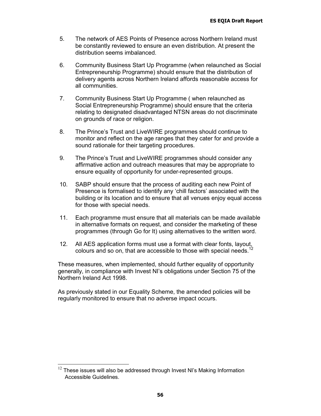- 5. The network of AES Points of Presence across Northern Ireland must be constantly reviewed to ensure an even distribution. At present the distribution seems imbalanced.
- 6. Community Business Start Up Programme (when relaunched as Social Entrepreneurship Programme) should ensure that the distribution of delivery agents across Northern Ireland affords reasonable access for all communities.
- 7. Community Business Start Up Programme ( when relaunched as Social Entrepreneurship Programme) should ensure that the criteria relating to designated disadvantaged NTSN areas do not discriminate on grounds of race or religion.
- 8. The Prince's Trust and LiveWIRE programmes should continue to monitor and reflect on the age ranges that they cater for and provide a sound rationale for their targeting procedures.
- 9. The Prince's Trust and LiveWIRE programmes should consider any affirmative action and outreach measures that may be appropriate to ensure equality of opportunity for under-represented groups.
- 10. SABP should ensure that the process of auditing each new Point of Presence is formalised to identify any 'chill factors' associated with the building or its location and to ensure that all venues enjoy equal access for those with special needs.
- 11. Each programme must ensure that all materials can be made available in alternative formats on request, and consider the marketing of these programmes (through Go for It) using alternatives to the written word.
- 12. All AES application forms must use a format with clear fonts, layout, colours and so on, that are accessible to those with special needs.<sup>12</sup>

These measures, when implemented, should further equality of opportunity generally, in compliance with Invest NI's obligations under Section 75 of the Northern Ireland Act 1998.

As previously stated in our Equality Scheme, the amended policies will be regularly monitored to ensure that no adverse impact occurs.

 <sup>12</sup> These issues will also be addressed through Invest NI's Making Information Accessible Guidelines.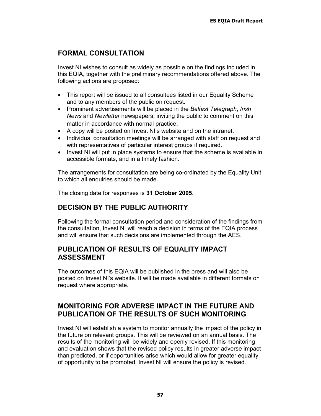# **FORMAL CONSULTATION**

Invest NI wishes to consult as widely as possible on the findings included in this EQIA, together with the preliminary recommendations offered above. The following actions are proposed:

- This report will be issued to all consultees listed in our Equality Scheme and to any members of the public on request.
- Prominent advertisements will be placed in the *Belfast Telegraph*, *Irish News* and *Newletter* newspapers, inviting the public to comment on this matter in accordance with normal practice.
- A copy will be posted on Invest NI's website and on the intranet.
- Individual consultation meetings will be arranged with staff on request and with representatives of particular interest groups if required.
- Invest NI will put in place systems to ensure that the scheme is available in accessible formats, and in a timely fashion.

The arrangements for consultation are being co-ordinated by the Equality Unit to which all enquiries should be made.

The closing date for responses is **31 October 2005**.

# **DECISION BY THE PUBLIC AUTHORITY**

Following the formal consultation period and consideration of the findings from the consultation, Invest NI will reach a decision in terms of the EQIA process and will ensure that such decisions are implemented through the AES.

# **PUBLICATION OF RESULTS OF EQUALITY IMPACT ASSESSMENT**

The outcomes of this EQIA will be published in the press and will also be posted on Invest NI's website. It will be made available in different formats on request where appropriate.

# **MONITORING FOR ADVERSE IMPACT IN THE FUTURE AND PUBLICATION OF THE RESULTS OF SUCH MONITORING**

Invest NI will establish a system to monitor annually the impact of the policy in the future on relevant groups. This will be reviewed on an annual basis. The results of the monitoring will be widely and openly revised. If this monitoring and evaluation shows that the revised policy results in greater adverse impact than predicted, or if opportunities arise which would allow for greater equality of opportunity to be promoted, Invest NI will ensure the policy is revised.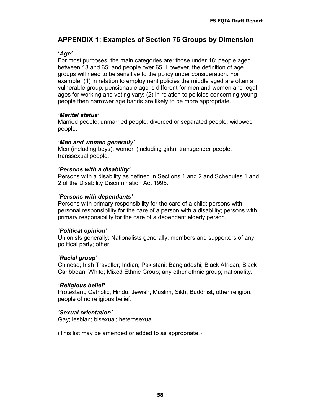# **APPENDIX 1: Examples of Section 75 Groups by Dimension**

### **'***Age'*

For most purposes, the main categories are: those under 18; people aged between 18 and 65; and people over 65. However, the definition of age groups will need to be sensitive to the policy under consideration. For example, (1) in relation to employment policies the middle aged are often a vulnerable group, pensionable age is different for men and women and legal ages for working and voting vary; (2) in relation to policies concerning young people then narrower age bands are likely to be more appropriate.

### *'Marital status'*

Married people; unmarried people; divorced or separated people; widowed people.

### *'Men and women generally'*

Men (including boys); women (including girls); transgender people; transsexual people.

### *'Persons with a disability'*

Persons with a disability as defined in Sections 1 and 2 and Schedules 1 and 2 of the Disability Discrimination Act 1995.

### *'Persons with dependants'*

Persons with primary responsibility for the care of a child; persons with personal responsibility for the care of a person with a disability; persons with primary responsibility for the care of a dependant elderly person.

### *'Political opinion'*

Unionists generally; Nationalists generally; members and supporters of any political party; other.

### *'Racial group'*

Chinese; Irish Traveller; Indian; Pakistani; Bangladeshi; Black African; Black Caribbean; White; Mixed Ethnic Group; any other ethnic group; nationality.

### *'Religious belief'*

Protestant; Catholic; Hindu; Jewish; Muslim; Sikh; Buddhist; other religion; people of no religious belief.

# *'Sexual orientation'*

Gay; lesbian; bisexual; heterosexual.

(This list may be amended or added to as appropriate.)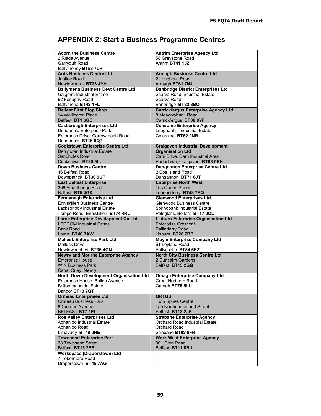# **APPENDIX 2: Start a Business Programme Centres**

| <b>Acorn the Business Centre</b>                                | <b>Antrim Enterprise Agency Ltd</b>                                        |  |  |
|-----------------------------------------------------------------|----------------------------------------------------------------------------|--|--|
| 2 Riada Avenue                                                  | 58 Greystone Road                                                          |  |  |
| Garryduff Road                                                  | Antrim BT41 1JZ                                                            |  |  |
| Ballymoney BT53 7LH                                             |                                                                            |  |  |
| Ards Business Centre Ltd                                        | <b>Armagh Business Centre Ltd</b>                                          |  |  |
| Jubilee Road                                                    | 2 Loughgall Road                                                           |  |  |
| Newtownards <b>BT23 4YH</b>                                     | Armagh BT61 7NJ                                                            |  |  |
| <b>Ballymena Business Devt Centre Ltd</b>                       | <b>Banbridge District Enterprises Ltd</b>                                  |  |  |
| <b>Galgorm Industrial Estate</b>                                | Scarva Road Industrial Estate                                              |  |  |
| 62 Fenaghy Road                                                 | Scarva Road                                                                |  |  |
| Ballymena BT42 1FL                                              | Banbridge BT32 3BQ                                                         |  |  |
| <b>Belfast First Stop Shop</b>                                  | <b>Carrickfergus Enterprise Agency Ltd</b>                                 |  |  |
| 14 Wellington Place                                             | 8 Meadowbank Road                                                          |  |  |
| Belfast BT1 6GE                                                 | Carrickfergus BT38 8YF                                                     |  |  |
| <b>Castlereagh Enterprises Ltd</b>                              | <b>Coleraine Enterprise Agency</b>                                         |  |  |
| Dundonald Enterprise Park                                       | Loughanhill Industrial Estate                                              |  |  |
| Enterprise Drive, Carrowreagh Road                              | Coleraine BT52 2NR                                                         |  |  |
| Dundonald BT16 0QT                                              |                                                                            |  |  |
| <b>Cookstown Enterprise Centre Ltd</b>                          | <b>Craigavon Industrial Development</b>                                    |  |  |
| Derryloran Industrial Estate                                    | <b>Organisation Ltd</b>                                                    |  |  |
| Sandholes Road                                                  | Carn Drive, Carn Industrial Area                                           |  |  |
| Cookstown BT80 9LU                                              | Portadown, Craigavon BT63 5RH                                              |  |  |
| <b>Down Business Centre</b>                                     | <b>Dungannon Enterprise Centre Ltd</b>                                     |  |  |
| 46 Belfast Road                                                 | 2 Coalisland Road                                                          |  |  |
| Downpatrick BT30 9UP                                            | Dungannon BT71 6JT                                                         |  |  |
| <b>East Belfast Enterprise</b>                                  | <b>Enterprise North West</b>                                               |  |  |
| 308 Albertbridge Road                                           | 16c Queen Street                                                           |  |  |
| Belfast BT5 4GX                                                 | Londonderry BT48 7EQ                                                       |  |  |
| <b>Fermanagh Enterprise Ltd</b>                                 | <b>Glenwood Enterprises Ltd</b>                                            |  |  |
| <b>Enniskillen Business Centre</b>                              | <b>Glenwood Business Centre</b>                                            |  |  |
| Lackaghboy Industrial Estate                                    | Springbank Industrial Estate                                               |  |  |
| Tempo Road, Enniskillen BT74 4RL                                | Poleglass, Belfast BT17 0QL                                                |  |  |
| Larne Enterprise Development Co Ltd                             | <b>Lisburn Enterprise Organisation Ltd</b>                                 |  |  |
| <b>LEDCOM Industrial Estate</b>                                 | <b>Enterprise Crescent</b>                                                 |  |  |
| Bank Road                                                       | <b>Ballinderry Road</b>                                                    |  |  |
| Larne BT40 3AW                                                  | Lisburn BT28 2BP                                                           |  |  |
| <b>Mallusk Enterprise Park Ltd</b>                              | <b>Moyle Enterprise Company Ltd</b>                                        |  |  |
| <b>Mallusk Drive</b>                                            | 61 Leyland Road                                                            |  |  |
| Newtownabbey BT36 4GN                                           | Ballycastle BT54 6EZ                                                       |  |  |
| <b>Newry and Mourne Enterprise Agency</b>                       | <b>North City Business Centre Ltd</b>                                      |  |  |
| <b>Enterprise House</b>                                         | 2 Duncairn Gardens                                                         |  |  |
| <b>WIN Business Park</b>                                        | Belfast BT15 2GG                                                           |  |  |
| Canal Quay, Newry                                               |                                                                            |  |  |
| North Down Development Organisation Ltd                         | <b>Omagh Enterprise Company Ltd</b>                                        |  |  |
| Enterprise House, Balloo Avenue                                 | <b>Great Northern Road</b>                                                 |  |  |
| Balloo Industrial Estate                                        | Omagh BT78 5LU                                                             |  |  |
| Bangor BT19 7QT                                                 |                                                                            |  |  |
| <b>Ormeau Enterprises Ltd</b>                                   | <b>ORTUS</b>                                                               |  |  |
| <b>Ormeau Business Park</b>                                     | <b>Twin Spires Centre</b>                                                  |  |  |
| 8 Cromac Avenue                                                 | 155 Northumberland Street                                                  |  |  |
| BELFAST BT7 1EL                                                 | Belfast BT13 2JF                                                           |  |  |
| <b>Roe Valley Enterprises Ltd</b><br>Aghanloo Industrial Estate | <b>Strabane Enterprise Agency</b><br><b>Orchard Road Industrial Estate</b> |  |  |
|                                                                 |                                                                            |  |  |
| Aghanloo Road                                                   | Orchard Road                                                               |  |  |
| Limavady BT49 OHE<br><b>Townsend Enterprise Park</b>            | Strabane BT82 9FR<br><b>Work West Enterprise Agency</b>                    |  |  |
| 28 Townsend Street                                              | 301 Glen Road                                                              |  |  |
| Belfast BT13 2ES                                                | Belfast BT11 8BU                                                           |  |  |
| Workspace (Draperstown) Ltd                                     |                                                                            |  |  |
| 7 Tobermore Road                                                |                                                                            |  |  |
| Draperstown BT45 7AG                                            |                                                                            |  |  |
|                                                                 |                                                                            |  |  |